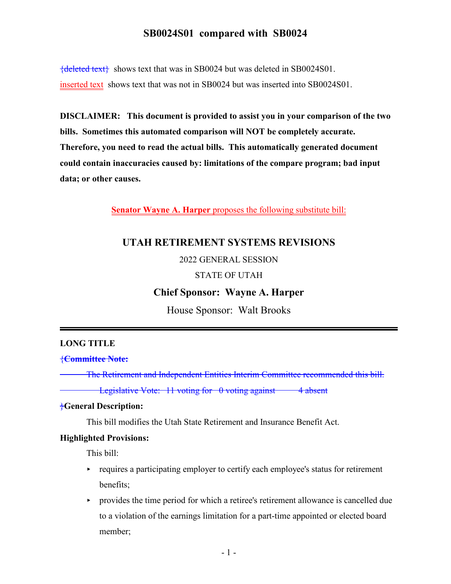{deleted text} shows text that was in SB0024 but was deleted in SB0024S01. inserted text shows text that was not in SB0024 but was inserted into SB0024S01.

**DISCLAIMER: This document is provided to assist you in your comparison of the two bills. Sometimes this automated comparison will NOT be completely accurate. Therefore, you need to read the actual bills. This automatically generated document could contain inaccuracies caused by: limitations of the compare program; bad input data; or other causes.**

**Senator Wayne A. Harper** proposes the following substitute bill:

# **UTAH RETIREMENT SYSTEMS REVISIONS**

2022 GENERAL SESSION

#### STATE OF UTAH

#### **Chief Sponsor: Wayne A. Harper**

House Sponsor: Walt Brooks

#### **LONG TITLE**

{**Committee Note:**

The Retirement and Independent Entities Interim Committee recommended this bill.

Legislative Vote:  $11$  voting for  $0$  voting against  $4$  absent

#### }**General Description:**

This bill modifies the Utah State Retirement and Insurance Benefit Act.

#### **Highlighted Provisions:**

This bill:

- $\rightarrow$  requires a participating employer to certify each employee's status for retirement benefits;
- $\rightarrow$  provides the time period for which a retiree's retirement allowance is cancelled due to a violation of the earnings limitation for a part-time appointed or elected board member;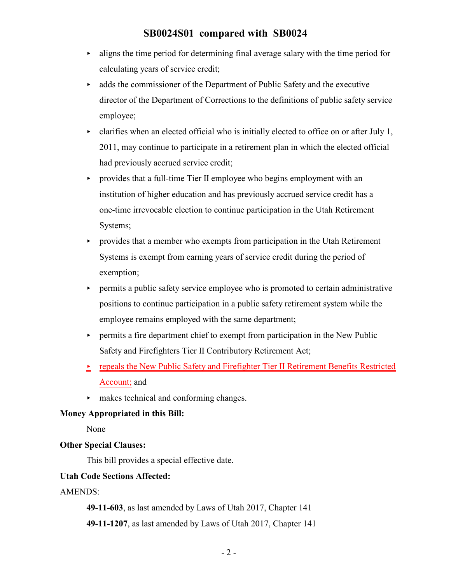- $\rightarrow$  aligns the time period for determining final average salary with the time period for calculating years of service credit;
- $\rightarrow$  adds the commissioner of the Department of Public Safety and the executive director of the Department of Corrections to the definitions of public safety service employee;
- $\triangleright$  clarifies when an elected official who is initially elected to office on or after July 1, 2011, may continue to participate in a retirement plan in which the elected official had previously accrued service credit;
- $\triangleright$  provides that a full-time Tier II employee who begins employment with an institution of higher education and has previously accrued service credit has a one-time irrevocable election to continue participation in the Utah Retirement Systems;
- $\rightarrow$  provides that a member who exempts from participation in the Utah Retirement Systems is exempt from earning years of service credit during the period of exemption;
- $\rightarrow$  permits a public safety service employee who is promoted to certain administrative positions to continue participation in a public safety retirement system while the employee remains employed with the same department;
- $\rightarrow$  permits a fire department chief to exempt from participation in the New Public Safety and Firefighters Tier II Contributory Retirement Act;
- $\textcolor{red}{\blacktriangleright}$  repeals the New Public Safety and Firefighter Tier II Retirement Benefits Restricted Account; and
- < makes technical and conforming changes.

#### **Money Appropriated in this Bill:**

None

#### **Other Special Clauses:**

This bill provides a special effective date.

# **Utah Code Sections Affected:**

#### AMENDS:

**49-11-603**, as last amended by Laws of Utah 2017, Chapter 141

**49-11-1207**, as last amended by Laws of Utah 2017, Chapter 141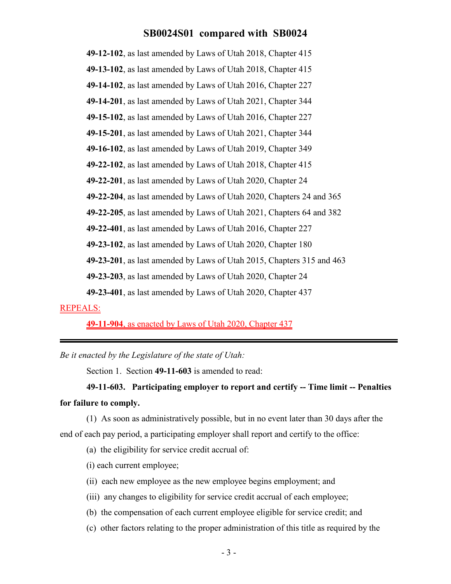**49-12-102**, as last amended by Laws of Utah 2018, Chapter 415 **49-13-102**, as last amended by Laws of Utah 2018, Chapter 415 **49-14-102**, as last amended by Laws of Utah 2016, Chapter 227 **49-14-201**, as last amended by Laws of Utah 2021, Chapter 344 **49-15-102**, as last amended by Laws of Utah 2016, Chapter 227 **49-15-201**, as last amended by Laws of Utah 2021, Chapter 344 **49-16-102**, as last amended by Laws of Utah 2019, Chapter 349 **49-22-102**, as last amended by Laws of Utah 2018, Chapter 415 **49-22-201**, as last amended by Laws of Utah 2020, Chapter 24 **49-22-204**, as last amended by Laws of Utah 2020, Chapters 24 and 365 **49-22-205**, as last amended by Laws of Utah 2021, Chapters 64 and 382 **49-22-401**, as last amended by Laws of Utah 2016, Chapter 227 **49-23-102**, as last amended by Laws of Utah 2020, Chapter 180 **49-23-201**, as last amended by Laws of Utah 2015, Chapters 315 and 463 **49-23-203**, as last amended by Laws of Utah 2020, Chapter 24 **49-23-401**, as last amended by Laws of Utah 2020, Chapter 437

#### REPEALS:

**49-11-904**, as enacted by Laws of Utah 2020, Chapter 437

*Be it enacted by the Legislature of the state of Utah:*

Section 1. Section **49-11-603** is amended to read:

# **49-11-603. Participating employer to report and certify -- Time limit -- Penalties for failure to comply.**

(1) As soon as administratively possible, but in no event later than 30 days after the end of each pay period, a participating employer shall report and certify to the office:

(a) the eligibility for service credit accrual of:

- (i) each current employee;
- (ii) each new employee as the new employee begins employment; and
- (iii) any changes to eligibility for service credit accrual of each employee;
- (b) the compensation of each current employee eligible for service credit; and
- (c) other factors relating to the proper administration of this title as required by the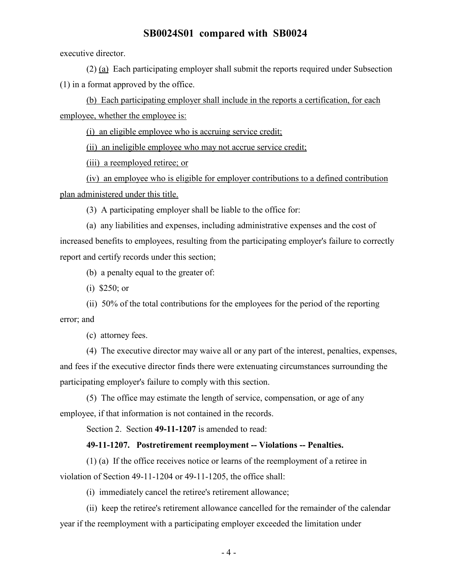executive director.

(2) (a) Each participating employer shall submit the reports required under Subsection (1) in a format approved by the office.

(b) Each participating employer shall include in the reports a certification, for each employee, whether the employee is:

(i) an eligible employee who is accruing service credit;

(ii) an ineligible employee who may not accrue service credit;

(iii) a reemployed retiree; or

(iv) an employee who is eligible for employer contributions to a defined contribution plan administered under this title.

(3) A participating employer shall be liable to the office for:

(a) any liabilities and expenses, including administrative expenses and the cost of increased benefits to employees, resulting from the participating employer's failure to correctly report and certify records under this section;

(b) a penalty equal to the greater of:

(i) \$250; or

(ii) 50% of the total contributions for the employees for the period of the reporting error; and

(c) attorney fees.

(4) The executive director may waive all or any part of the interest, penalties, expenses, and fees if the executive director finds there were extenuating circumstances surrounding the participating employer's failure to comply with this section.

(5) The office may estimate the length of service, compensation, or age of any employee, if that information is not contained in the records.

Section 2. Section **49-11-1207** is amended to read:

#### **49-11-1207. Postretirement reemployment -- Violations -- Penalties.**

(1) (a) If the office receives notice or learns of the reemployment of a retiree in violation of Section 49-11-1204 or 49-11-1205, the office shall:

(i) immediately cancel the retiree's retirement allowance;

(ii) keep the retiree's retirement allowance cancelled for the remainder of the calendar year if the reemployment with a participating employer exceeded the limitation under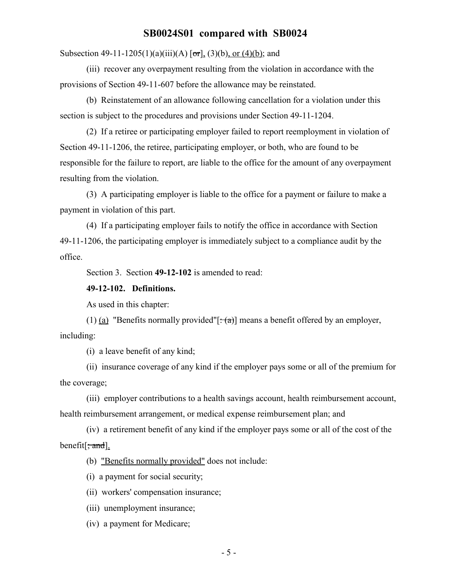Subsection 49-11-1205(1)(a)(iii)(A)  $[\sigma r]$ , (3)(b), or (4)(b); and

(iii) recover any overpayment resulting from the violation in accordance with the provisions of Section 49-11-607 before the allowance may be reinstated.

(b) Reinstatement of an allowance following cancellation for a violation under this section is subject to the procedures and provisions under Section 49-11-1204.

(2) If a retiree or participating employer failed to report reemployment in violation of Section 49-11-1206, the retiree, participating employer, or both, who are found to be responsible for the failure to report, are liable to the office for the amount of any overpayment resulting from the violation.

(3) A participating employer is liable to the office for a payment or failure to make a payment in violation of this part.

(4) If a participating employer fails to notify the office in accordance with Section 49-11-1206, the participating employer is immediately subject to a compliance audit by the office.

Section 3. Section **49-12-102** is amended to read:

#### **49-12-102. Definitions.**

As used in this chapter:

(1) (a) "Benefits normally provided"[ $\div$ (a)] means a benefit offered by an employer, including:

(i) a leave benefit of any kind;

(ii) insurance coverage of any kind if the employer pays some or all of the premium for the coverage;

(iii) employer contributions to a health savings account, health reimbursement account, health reimbursement arrangement, or medical expense reimbursement plan; and

(iv) a retirement benefit of any kind if the employer pays some or all of the cost of the benefit $\left[\frac{1}{2}, \frac{1}{2} \right]$ .

(b) "Benefits normally provided" does not include:

(i) a payment for social security;

(ii) workers' compensation insurance;

(iii) unemployment insurance;

(iv) a payment for Medicare;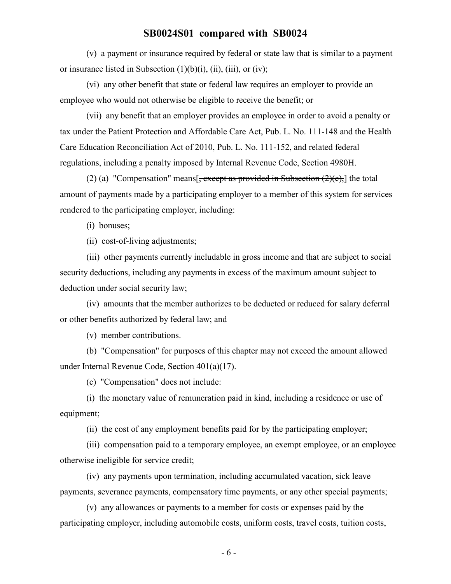(v) a payment or insurance required by federal or state law that is similar to a payment or insurance listed in Subsection (1)(b)(i), (ii), (iii), or (iv);

(vi) any other benefit that state or federal law requires an employer to provide an employee who would not otherwise be eligible to receive the benefit; or

(vii) any benefit that an employer provides an employee in order to avoid a penalty or tax under the Patient Protection and Affordable Care Act, Pub. L. No. 111-148 and the Health Care Education Reconciliation Act of 2010, Pub. L. No. 111-152, and related federal regulations, including a penalty imposed by Internal Revenue Code, Section 4980H.

(2) (a) "Compensation" means  $\sqrt{3}$ , except as provided in Subsection (2)(c), the total amount of payments made by a participating employer to a member of this system for services rendered to the participating employer, including:

(i) bonuses;

(ii) cost-of-living adjustments;

(iii) other payments currently includable in gross income and that are subject to social security deductions, including any payments in excess of the maximum amount subject to deduction under social security law;

(iv) amounts that the member authorizes to be deducted or reduced for salary deferral or other benefits authorized by federal law; and

(v) member contributions.

(b) "Compensation" for purposes of this chapter may not exceed the amount allowed under Internal Revenue Code, Section 401(a)(17).

(c) "Compensation" does not include:

(i) the monetary value of remuneration paid in kind, including a residence or use of equipment;

(ii) the cost of any employment benefits paid for by the participating employer;

(iii) compensation paid to a temporary employee, an exempt employee, or an employee otherwise ineligible for service credit;

(iv) any payments upon termination, including accumulated vacation, sick leave payments, severance payments, compensatory time payments, or any other special payments;

(v) any allowances or payments to a member for costs or expenses paid by the participating employer, including automobile costs, uniform costs, travel costs, tuition costs,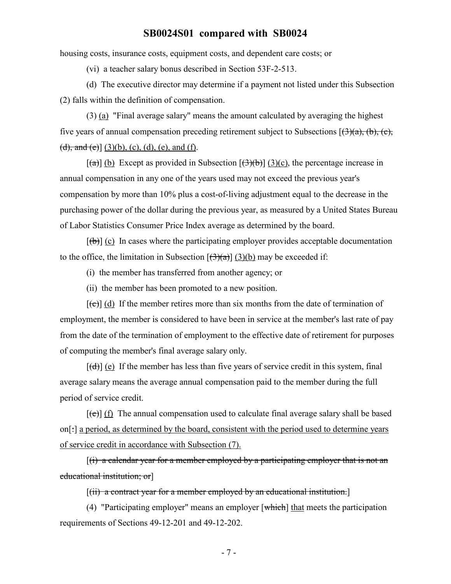housing costs, insurance costs, equipment costs, and dependent care costs; or

(vi) a teacher salary bonus described in Section 53F-2-513.

(d) The executive director may determine if a payment not listed under this Subsection (2) falls within the definition of compensation.

(3) (a) "Final average salary" means the amount calculated by averaging the highest five years of annual compensation preceding retirement subject to Subsections  $[3](a)$ ,  $(b)$ ,  $(c)$ , (d), and (e)] (3)(b), (c), (d), (e), and (f).

 $[(a)]$  (b) Except as provided in Subsection  $[(3)(b)]$  (3)(c), the percentage increase in annual compensation in any one of the years used may not exceed the previous year's compensation by more than 10% plus a cost-of-living adjustment equal to the decrease in the purchasing power of the dollar during the previous year, as measured by a United States Bureau of Labor Statistics Consumer Price Index average as determined by the board.

 $[(\theta)]$  (c) In cases where the participating employer provides acceptable documentation to the office, the limitation in Subsection  $[\frac{1}{3}(a)]$  (3)(b) may be exceeded if:

(i) the member has transferred from another agency; or

(ii) the member has been promoted to a new position.

 $[\text{e}(\epsilon)]$  (d) If the member retires more than six months from the date of termination of employment, the member is considered to have been in service at the member's last rate of pay from the date of the termination of employment to the effective date of retirement for purposes of computing the member's final average salary only.

 $[\overrightarrow{(d)}]$  (e) If the member has less than five years of service credit in this system, final average salary means the average annual compensation paid to the member during the full period of service credit.

 $[(e)] (f)$  The annual compensation used to calculate final average salary shall be based on[:] a period, as determined by the board, consistent with the period used to determine years of service credit in accordance with Subsection (7).

 $[(i)$  a calendar year for a member employed by a participating employer that is not an educational institution; or]

#### $[(ii)$  a contract year for a member employed by an educational institution.

(4) "Participating employer" means an employer  $[\overline{\text{which}}]$  that meets the participation requirements of Sections 49-12-201 and 49-12-202.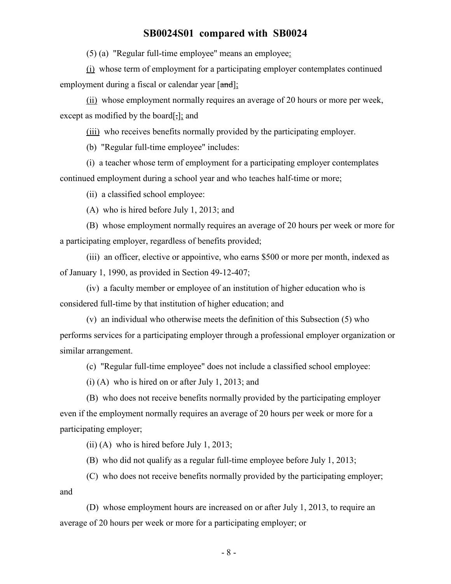(5) (a) "Regular full-time employee" means an employee:

(i) whose term of employment for a participating employer contemplates continued employment during a fiscal or calendar year [and];

(ii) whose employment normally requires an average of 20 hours or more per week, except as modified by the board[,]; and

(iii) who receives benefits normally provided by the participating employer.

(b) "Regular full-time employee" includes:

(i) a teacher whose term of employment for a participating employer contemplates continued employment during a school year and who teaches half-time or more;

(ii) a classified school employee:

(A) who is hired before July 1, 2013; and

(B) whose employment normally requires an average of 20 hours per week or more for a participating employer, regardless of benefits provided;

(iii) an officer, elective or appointive, who earns \$500 or more per month, indexed as of January 1, 1990, as provided in Section 49-12-407;

(iv) a faculty member or employee of an institution of higher education who is considered full-time by that institution of higher education; and

(v) an individual who otherwise meets the definition of this Subsection (5) who performs services for a participating employer through a professional employer organization or similar arrangement.

(c) "Regular full-time employee" does not include a classified school employee:

(i) (A) who is hired on or after July 1, 2013; and

(B) who does not receive benefits normally provided by the participating employer even if the employment normally requires an average of 20 hours per week or more for a participating employer;

(ii) (A) who is hired before July 1, 2013;

(B) who did not qualify as a regular full-time employee before July 1, 2013;

(C) who does not receive benefits normally provided by the participating employer; and

(D) whose employment hours are increased on or after July 1, 2013, to require an average of 20 hours per week or more for a participating employer; or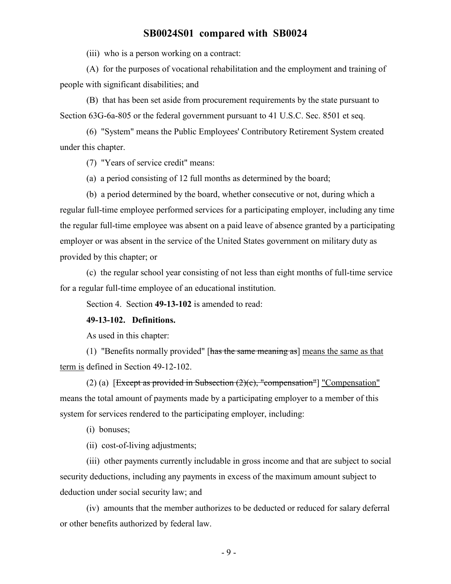(iii) who is a person working on a contract:

(A) for the purposes of vocational rehabilitation and the employment and training of people with significant disabilities; and

(B) that has been set aside from procurement requirements by the state pursuant to Section 63G-6a-805 or the federal government pursuant to 41 U.S.C. Sec. 8501 et seq.

(6) "System" means the Public Employees' Contributory Retirement System created under this chapter.

(7) "Years of service credit" means:

(a) a period consisting of 12 full months as determined by the board;

(b) a period determined by the board, whether consecutive or not, during which a regular full-time employee performed services for a participating employer, including any time the regular full-time employee was absent on a paid leave of absence granted by a participating employer or was absent in the service of the United States government on military duty as provided by this chapter; or

(c) the regular school year consisting of not less than eight months of full-time service for a regular full-time employee of an educational institution.

Section 4. Section **49-13-102** is amended to read:

#### **49-13-102. Definitions.**

As used in this chapter:

(1) "Benefits normally provided"  $[{\text{has the same meaning as}}]$  means the same as that term is defined in Section 49-12-102.

(2) (a) [Except as provided in Subsection  $(2)(c)$ , "compensation"] "Compensation" means the total amount of payments made by a participating employer to a member of this system for services rendered to the participating employer, including:

(i) bonuses;

(ii) cost-of-living adjustments;

(iii) other payments currently includable in gross income and that are subject to social security deductions, including any payments in excess of the maximum amount subject to deduction under social security law; and

(iv) amounts that the member authorizes to be deducted or reduced for salary deferral or other benefits authorized by federal law.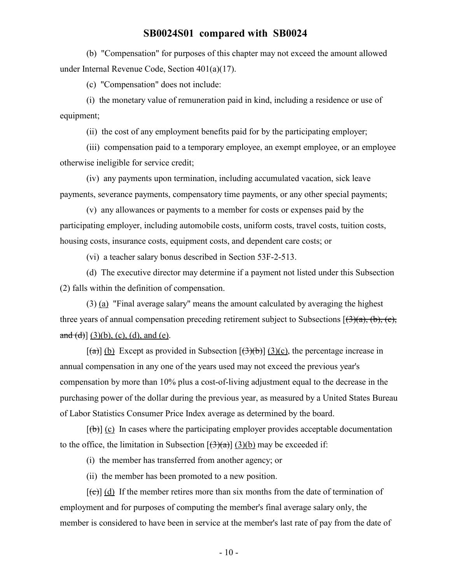(b) "Compensation" for purposes of this chapter may not exceed the amount allowed under Internal Revenue Code, Section 401(a)(17).

(c) "Compensation" does not include:

(i) the monetary value of remuneration paid in kind, including a residence or use of equipment;

(ii) the cost of any employment benefits paid for by the participating employer;

(iii) compensation paid to a temporary employee, an exempt employee, or an employee otherwise ineligible for service credit;

(iv) any payments upon termination, including accumulated vacation, sick leave payments, severance payments, compensatory time payments, or any other special payments;

(v) any allowances or payments to a member for costs or expenses paid by the participating employer, including automobile costs, uniform costs, travel costs, tuition costs, housing costs, insurance costs, equipment costs, and dependent care costs; or

(vi) a teacher salary bonus described in Section 53F-2-513.

(d) The executive director may determine if a payment not listed under this Subsection (2) falls within the definition of compensation.

(3) (a) "Final average salary" means the amount calculated by averaging the highest three years of annual compensation preceding retirement subject to Subsections  $(3)(a)$ ,  $(b)$ ,  $(c)$ , and  $(d)$ ]  $(3)(b)$ ,  $(c)$ ,  $(d)$ , and  $(e)$ .

 $[(a)]$  (b) Except as provided in Subsection  $[(3)(b)]$  (3)(c), the percentage increase in annual compensation in any one of the years used may not exceed the previous year's compensation by more than 10% plus a cost-of-living adjustment equal to the decrease in the purchasing power of the dollar during the previous year, as measured by a United States Bureau of Labor Statistics Consumer Price Index average as determined by the board.

 $[(\theta)]$  (c) In cases where the participating employer provides acceptable documentation to the office, the limitation in Subsection  $[(3)(a)]$  (3)(b) may be exceeded if:

(i) the member has transferred from another agency; or

(ii) the member has been promoted to a new position.

 $[\text{f}\text{e}]$  (d) If the member retires more than six months from the date of termination of employment and for purposes of computing the member's final average salary only, the member is considered to have been in service at the member's last rate of pay from the date of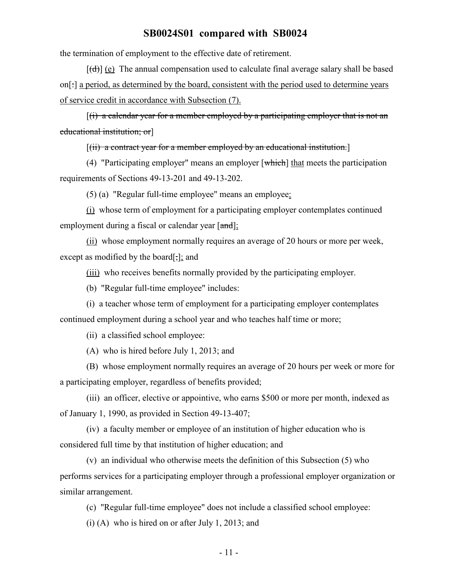the termination of employment to the effective date of retirement.

 $[(d)]$  (e) The annual compensation used to calculate final average salary shall be based on[ $:$ ] a period, as determined by the board, consistent with the period used to determine years of service credit in accordance with Subsection (7).

 $[(i)$  a calendar year for a member employed by a participating employer that is not an educational institution; or]

 $[(ii)$  a contract year for a member employed by an educational institution.

(4) "Participating employer" means an employer  $\lceil \text{which} \rceil$  that meets the participation requirements of Sections 49-13-201 and 49-13-202.

(5) (a) "Regular full-time employee" means an employee:

(i) whose term of employment for a participating employer contemplates continued employment during a fiscal or calendar year [and];

(ii) whose employment normally requires an average of 20 hours or more per week, except as modified by the board[,]; and

(iii) who receives benefits normally provided by the participating employer.

(b) "Regular full-time employee" includes:

(i) a teacher whose term of employment for a participating employer contemplates continued employment during a school year and who teaches half time or more;

(ii) a classified school employee:

(A) who is hired before July 1, 2013; and

(B) whose employment normally requires an average of 20 hours per week or more for a participating employer, regardless of benefits provided;

(iii) an officer, elective or appointive, who earns \$500 or more per month, indexed as of January 1, 1990, as provided in Section 49-13-407;

(iv) a faculty member or employee of an institution of higher education who is considered full time by that institution of higher education; and

(v) an individual who otherwise meets the definition of this Subsection (5) who performs services for a participating employer through a professional employer organization or similar arrangement.

(c) "Regular full-time employee" does not include a classified school employee:

(i) (A) who is hired on or after July 1, 2013; and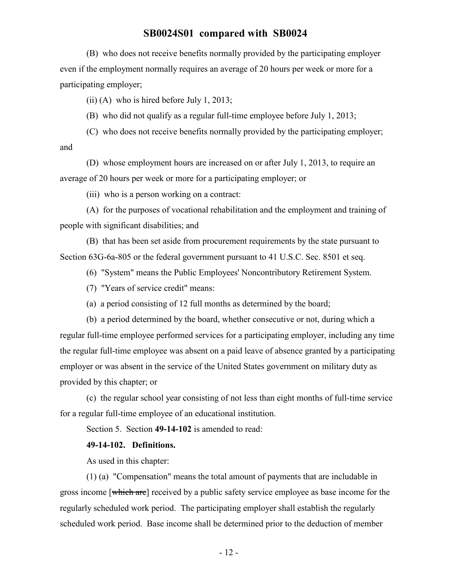(B) who does not receive benefits normally provided by the participating employer even if the employment normally requires an average of 20 hours per week or more for a participating employer;

(ii) (A) who is hired before July 1, 2013;

(B) who did not qualify as a regular full-time employee before July 1, 2013;

(C) who does not receive benefits normally provided by the participating employer; and

(D) whose employment hours are increased on or after July 1, 2013, to require an average of 20 hours per week or more for a participating employer; or

(iii) who is a person working on a contract:

(A) for the purposes of vocational rehabilitation and the employment and training of people with significant disabilities; and

(B) that has been set aside from procurement requirements by the state pursuant to Section 63G-6a-805 or the federal government pursuant to 41 U.S.C. Sec. 8501 et seq.

(6) "System" means the Public Employees' Noncontributory Retirement System.

(7) "Years of service credit" means:

(a) a period consisting of 12 full months as determined by the board;

(b) a period determined by the board, whether consecutive or not, during which a regular full-time employee performed services for a participating employer, including any time the regular full-time employee was absent on a paid leave of absence granted by a participating employer or was absent in the service of the United States government on military duty as provided by this chapter; or

(c) the regular school year consisting of not less than eight months of full-time service for a regular full-time employee of an educational institution.

Section 5. Section **49-14-102** is amended to read:

#### **49-14-102. Definitions.**

As used in this chapter:

(1) (a) "Compensation" means the total amount of payments that are includable in gross income [which are] received by a public safety service employee as base income for the regularly scheduled work period. The participating employer shall establish the regularly scheduled work period. Base income shall be determined prior to the deduction of member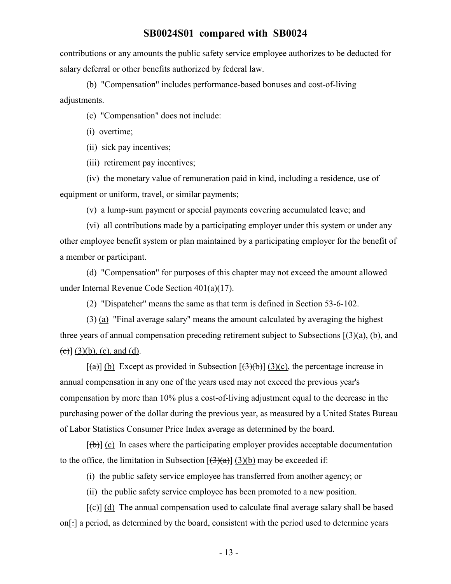contributions or any amounts the public safety service employee authorizes to be deducted for salary deferral or other benefits authorized by federal law.

(b) "Compensation" includes performance-based bonuses and cost-of-living adjustments.

(c) "Compensation" does not include:

(i) overtime;

(ii) sick pay incentives;

(iii) retirement pay incentives;

(iv) the monetary value of remuneration paid in kind, including a residence, use of equipment or uniform, travel, or similar payments;

(v) a lump-sum payment or special payments covering accumulated leave; and

(vi) all contributions made by a participating employer under this system or under any other employee benefit system or plan maintained by a participating employer for the benefit of a member or participant.

(d) "Compensation" for purposes of this chapter may not exceed the amount allowed under Internal Revenue Code Section 401(a)(17).

(2) "Dispatcher" means the same as that term is defined in Section 53-6-102.

(3) (a) "Final average salary" means the amount calculated by averaging the highest three years of annual compensation preceding retirement subject to Subsections  $(\exists)(a)$ , (b), and  $(e)$ ] (3)(b), (c), and (d).

 $[(a)]$  (b) Except as provided in Subsection  $[(3)(b)]$  (3)(c), the percentage increase in annual compensation in any one of the years used may not exceed the previous year's compensation by more than 10% plus a cost-of-living adjustment equal to the decrease in the purchasing power of the dollar during the previous year, as measured by a United States Bureau of Labor Statistics Consumer Price Index average as determined by the board.

 $[(\theta)]$  (c) In cases where the participating employer provides acceptable documentation to the office, the limitation in Subsection  $[\frac{1}{3}(a)]$  (3)(b) may be exceeded if:

(i) the public safety service employee has transferred from another agency; or

(ii) the public safety service employee has been promoted to a new position.

 $[\text{e}(\epsilon)]$  (d) The annual compensation used to calculate final average salary shall be based on[:] a period, as determined by the board, consistent with the period used to determine years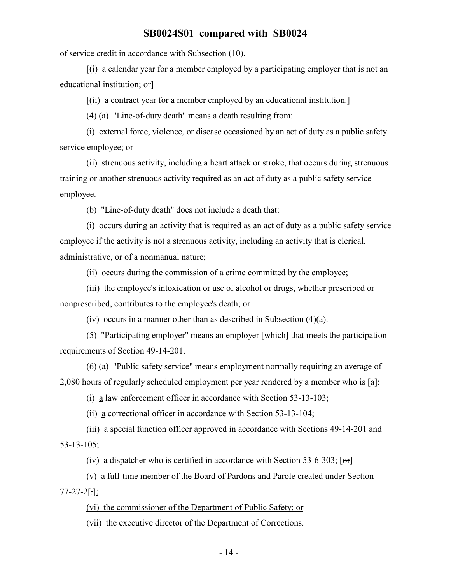of service credit in accordance with Subsection (10).

 $[(i)$  a calendar year for a member employed by a participating employer that is not an educational institution; or]

[(ii) a contract year for a member employed by an educational institution.]

(4) (a) "Line-of-duty death" means a death resulting from:

(i) external force, violence, or disease occasioned by an act of duty as a public safety service employee; or

(ii) strenuous activity, including a heart attack or stroke, that occurs during strenuous training or another strenuous activity required as an act of duty as a public safety service employee.

(b) "Line-of-duty death" does not include a death that:

(i) occurs during an activity that is required as an act of duty as a public safety service employee if the activity is not a strenuous activity, including an activity that is clerical, administrative, or of a nonmanual nature;

(ii) occurs during the commission of a crime committed by the employee;

(iii) the employee's intoxication or use of alcohol or drugs, whether prescribed or nonprescribed, contributes to the employee's death; or

(iv) occurs in a manner other than as described in Subsection (4)(a).

(5) "Participating employer" means an employer  $[\overline{\text{which}}]$  that meets the participation requirements of Section 49-14-201.

(6) (a) "Public safety service" means employment normally requiring an average of 2,080 hours of regularly scheduled employment per year rendered by a member who is  $\lceil a \rceil$ :

(i) a law enforcement officer in accordance with Section 53-13-103;

(ii) a correctional officer in accordance with Section 53-13-104;

(iii) a special function officer approved in accordance with Sections 49-14-201 and 53-13-105;

(iv) a dispatcher who is certified in accordance with Section 53-6-303;  $\lceil \sigma r \rceil$ 

(v) a full-time member of the Board of Pardons and Parole created under Section  $77-27-2$ [.];

(vi) the commissioner of the Department of Public Safety; or (vii) the executive director of the Department of Corrections.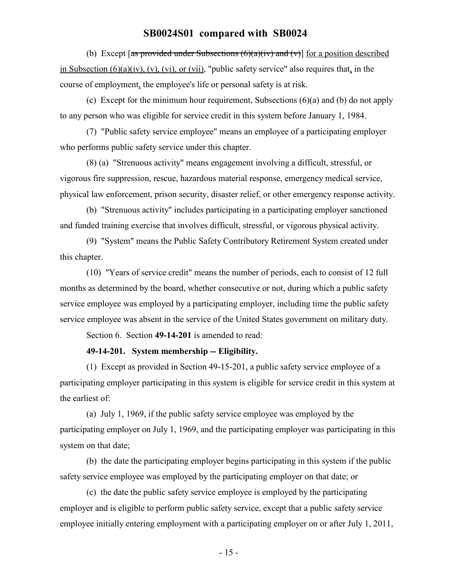(b) Except [as provided under Subsections  $(6)(a)(iv)$  and  $(v)$ ] for a position described in Subsection  $(6)(a)(iv)$ ,  $(v)$ ,  $(vi)$ , or  $(vii)$ , "public safety service" also requires that, in the course of employment, the employee's life or personal safety is at risk.

(c) Except for the minimum hour requirement, Subsections (6)(a) and (b) do not apply to any person who was eligible for service credit in this system before January 1, 1984.

(7) "Public safety service employee" means an employee of a participating employer who performs public safety service under this chapter.

(8) (a) "Strenuous activity" means engagement involving a difficult, stressful, or vigorous fire suppression, rescue, hazardous material response, emergency medical service, physical law enforcement, prison security, disaster relief, or other emergency response activity.

(b) "Strenuous activity" includes participating in a participating employer sanctioned and funded training exercise that involves difficult, stressful, or vigorous physical activity.

(9) "System" means the Public Safety Contributory Retirement System created under this chapter.

(10) "Years of service credit" means the number of periods, each to consist of 12 full months as determined by the board, whether consecutive or not, during which a public safety service employee was employed by a participating employer, including time the public safety service employee was absent in the service of the United States government on military duty.

Section 6. Section **49-14-201** is amended to read:

#### **49-14-201. System membership -- Eligibility.**

(1) Except as provided in Section 49-15-201, a public safety service employee of a participating employer participating in this system is eligible for service credit in this system at the earliest of:

(a) July 1, 1969, if the public safety service employee was employed by the participating employer on July 1, 1969, and the participating employer was participating in this system on that date;

(b) the date the participating employer begins participating in this system if the public safety service employee was employed by the participating employer on that date; or

(c) the date the public safety service employee is employed by the participating employer and is eligible to perform public safety service, except that a public safety service employee initially entering employment with a participating employer on or after July 1, 2011,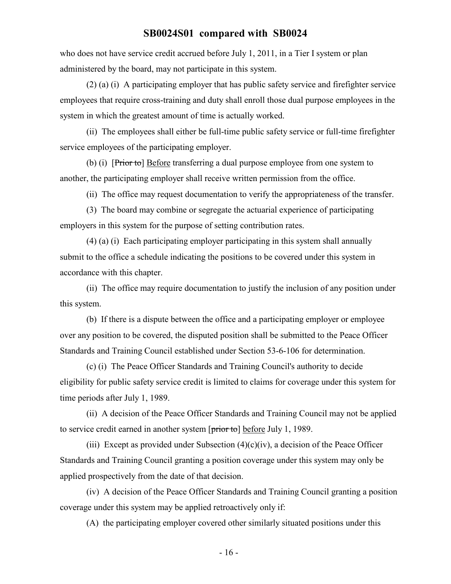who does not have service credit accrued before July 1, 2011, in a Tier I system or plan administered by the board, may not participate in this system.

(2) (a) (i) A participating employer that has public safety service and firefighter service employees that require cross-training and duty shall enroll those dual purpose employees in the system in which the greatest amount of time is actually worked.

(ii) The employees shall either be full-time public safety service or full-time firefighter service employees of the participating employer.

(b) (i) [Prior to] Before transferring a dual purpose employee from one system to another, the participating employer shall receive written permission from the office.

(ii) The office may request documentation to verify the appropriateness of the transfer.

(3) The board may combine or segregate the actuarial experience of participating employers in this system for the purpose of setting contribution rates.

(4) (a) (i) Each participating employer participating in this system shall annually submit to the office a schedule indicating the positions to be covered under this system in accordance with this chapter.

(ii) The office may require documentation to justify the inclusion of any position under this system.

(b) If there is a dispute between the office and a participating employer or employee over any position to be covered, the disputed position shall be submitted to the Peace Officer Standards and Training Council established under Section 53-6-106 for determination.

(c) (i) The Peace Officer Standards and Training Council's authority to decide eligibility for public safety service credit is limited to claims for coverage under this system for time periods after July 1, 1989.

(ii) A decision of the Peace Officer Standards and Training Council may not be applied to service credit earned in another system [prior to] before July 1, 1989.

(iii) Except as provided under Subsection  $(4)(c)(iv)$ , a decision of the Peace Officer Standards and Training Council granting a position coverage under this system may only be applied prospectively from the date of that decision.

(iv) A decision of the Peace Officer Standards and Training Council granting a position coverage under this system may be applied retroactively only if:

(A) the participating employer covered other similarly situated positions under this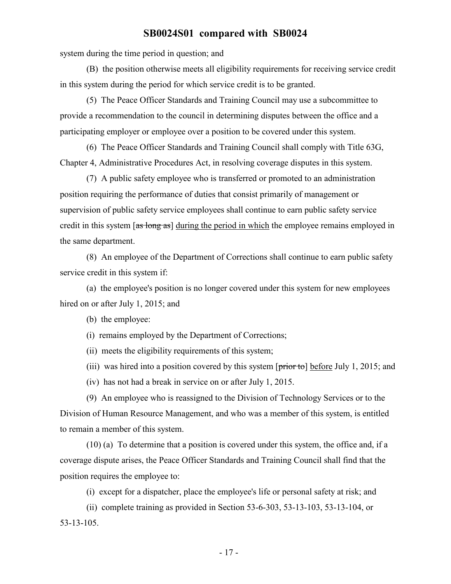system during the time period in question; and

(B) the position otherwise meets all eligibility requirements for receiving service credit in this system during the period for which service credit is to be granted.

(5) The Peace Officer Standards and Training Council may use a subcommittee to provide a recommendation to the council in determining disputes between the office and a participating employer or employee over a position to be covered under this system.

(6) The Peace Officer Standards and Training Council shall comply with Title 63G, Chapter 4, Administrative Procedures Act, in resolving coverage disputes in this system.

(7) A public safety employee who is transferred or promoted to an administration position requiring the performance of duties that consist primarily of management or supervision of public safety service employees shall continue to earn public safety service credit in this system [as long as] during the period in which the employee remains employed in the same department.

(8) An employee of the Department of Corrections shall continue to earn public safety service credit in this system if:

(a) the employee's position is no longer covered under this system for new employees hired on or after July 1, 2015; and

(b) the employee:

(i) remains employed by the Department of Corrections;

(ii) meets the eligibility requirements of this system;

(iii) was hired into a position covered by this system  $[\overrightarrow{prior\ to}]$  before July 1, 2015; and

(iv) has not had a break in service on or after July 1, 2015.

(9) An employee who is reassigned to the Division of Technology Services or to the Division of Human Resource Management, and who was a member of this system, is entitled to remain a member of this system.

(10) (a) To determine that a position is covered under this system, the office and, if a coverage dispute arises, the Peace Officer Standards and Training Council shall find that the position requires the employee to:

(i) except for a dispatcher, place the employee's life or personal safety at risk; and

(ii) complete training as provided in Section 53-6-303, 53-13-103, 53-13-104, or 53-13-105.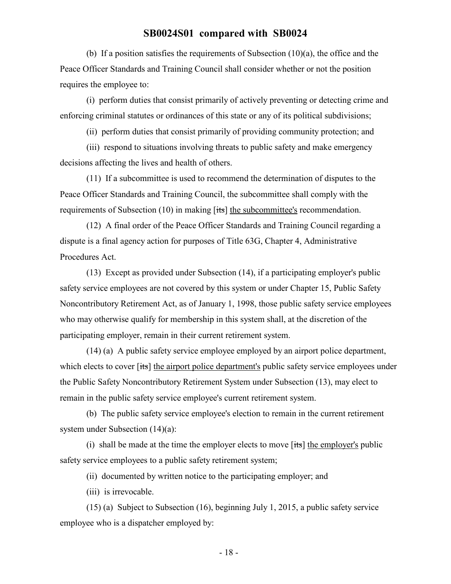(b) If a position satisfies the requirements of Subsection  $(10)(a)$ , the office and the Peace Officer Standards and Training Council shall consider whether or not the position requires the employee to:

(i) perform duties that consist primarily of actively preventing or detecting crime and enforcing criminal statutes or ordinances of this state or any of its political subdivisions;

(ii) perform duties that consist primarily of providing community protection; and

(iii) respond to situations involving threats to public safety and make emergency decisions affecting the lives and health of others.

(11) If a subcommittee is used to recommend the determination of disputes to the Peace Officer Standards and Training Council, the subcommittee shall comply with the requirements of Subsection  $(10)$  in making  $[its]$  the subcommittee's recommendation.

(12) A final order of the Peace Officer Standards and Training Council regarding a dispute is a final agency action for purposes of Title 63G, Chapter 4, Administrative Procedures Act.

(13) Except as provided under Subsection (14), if a participating employer's public safety service employees are not covered by this system or under Chapter 15, Public Safety Noncontributory Retirement Act, as of January 1, 1998, those public safety service employees who may otherwise qualify for membership in this system shall, at the discretion of the participating employer, remain in their current retirement system.

(14) (a) A public safety service employee employed by an airport police department, which elects to cover [its] the airport police department's public safety service employees under the Public Safety Noncontributory Retirement System under Subsection (13), may elect to remain in the public safety service employee's current retirement system.

(b) The public safety service employee's election to remain in the current retirement system under Subsection (14)(a):

(i) shall be made at the time the employer elects to move  $[its]$  the employer's public safety service employees to a public safety retirement system;

(ii) documented by written notice to the participating employer; and

(iii) is irrevocable.

(15) (a) Subject to Subsection (16), beginning July 1, 2015, a public safety service employee who is a dispatcher employed by: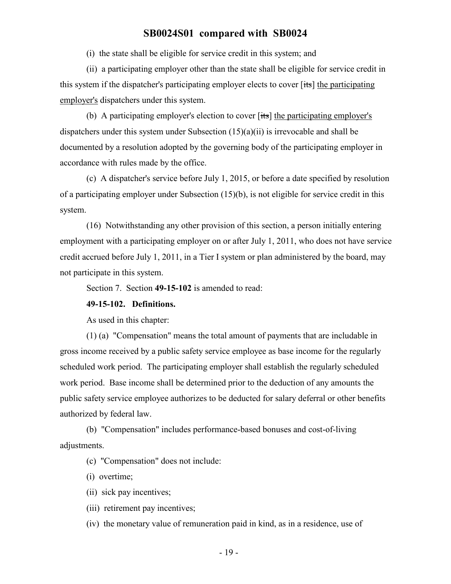(i) the state shall be eligible for service credit in this system; and

(ii) a participating employer other than the state shall be eligible for service credit in this system if the dispatcher's participating employer elects to cover [its] the participating employer's dispatchers under this system.

(b) A participating employer's election to cover  $[t\ddot{\mathbf{x}}]$  the participating employer's dispatchers under this system under Subsection (15)(a)(ii) is irrevocable and shall be documented by a resolution adopted by the governing body of the participating employer in accordance with rules made by the office.

(c) A dispatcher's service before July 1, 2015, or before a date specified by resolution of a participating employer under Subsection (15)(b), is not eligible for service credit in this system.

(16) Notwithstanding any other provision of this section, a person initially entering employment with a participating employer on or after July 1, 2011, who does not have service credit accrued before July 1, 2011, in a Tier I system or plan administered by the board, may not participate in this system.

Section 7. Section **49-15-102** is amended to read:

#### **49-15-102. Definitions.**

As used in this chapter:

(1) (a) "Compensation" means the total amount of payments that are includable in gross income received by a public safety service employee as base income for the regularly scheduled work period. The participating employer shall establish the regularly scheduled work period. Base income shall be determined prior to the deduction of any amounts the public safety service employee authorizes to be deducted for salary deferral or other benefits authorized by federal law.

(b) "Compensation" includes performance-based bonuses and cost-of-living adjustments.

(c) "Compensation" does not include:

(i) overtime;

(ii) sick pay incentives;

(iii) retirement pay incentives;

(iv) the monetary value of remuneration paid in kind, as in a residence, use of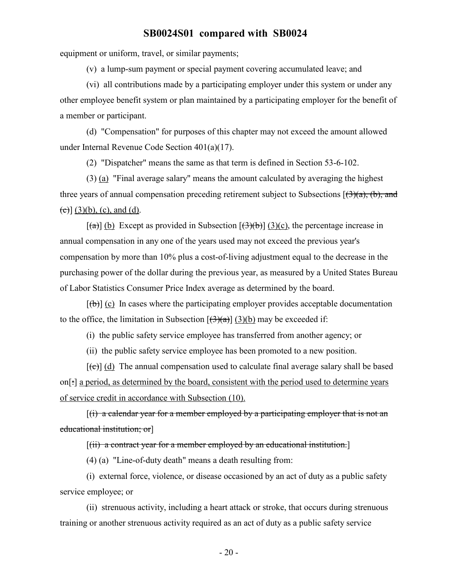equipment or uniform, travel, or similar payments;

(v) a lump-sum payment or special payment covering accumulated leave; and

(vi) all contributions made by a participating employer under this system or under any other employee benefit system or plan maintained by a participating employer for the benefit of a member or participant.

(d) "Compensation" for purposes of this chapter may not exceed the amount allowed under Internal Revenue Code Section 401(a)(17).

(2) "Dispatcher" means the same as that term is defined in Section 53-6-102.

(3) (a) "Final average salary" means the amount calculated by averaging the highest three years of annual compensation preceding retirement subject to Subsections  $[3](a)$ , (b), and  $(e)$ ] (3)(b), (c), and (d).

 $[\hat{a}]$  (b) Except as provided in Subsection  $[\hat{a}](\hat{b})$  (3)(c), the percentage increase in annual compensation in any one of the years used may not exceed the previous year's compensation by more than 10% plus a cost-of-living adjustment equal to the decrease in the purchasing power of the dollar during the previous year, as measured by a United States Bureau of Labor Statistics Consumer Price Index average as determined by the board.

 $[(\theta)]$  (c) In cases where the participating employer provides acceptable documentation to the office, the limitation in Subsection  $[\frac{1}{3}(a)]$  (3)(b) may be exceeded if:

(i) the public safety service employee has transferred from another agency; or

(ii) the public safety service employee has been promoted to a new position.

 $[\text{f}\text{c}]$  (d) The annual compensation used to calculate final average salary shall be based on[:] a period, as determined by the board, consistent with the period used to determine years of service credit in accordance with Subsection (10).

 $[(i)$  a calendar year for a member employed by a participating employer that is not an educational institution; or]

[(ii) a contract year for a member employed by an educational institution.]

(4) (a) "Line-of-duty death" means a death resulting from:

(i) external force, violence, or disease occasioned by an act of duty as a public safety service employee; or

(ii) strenuous activity, including a heart attack or stroke, that occurs during strenuous training or another strenuous activity required as an act of duty as a public safety service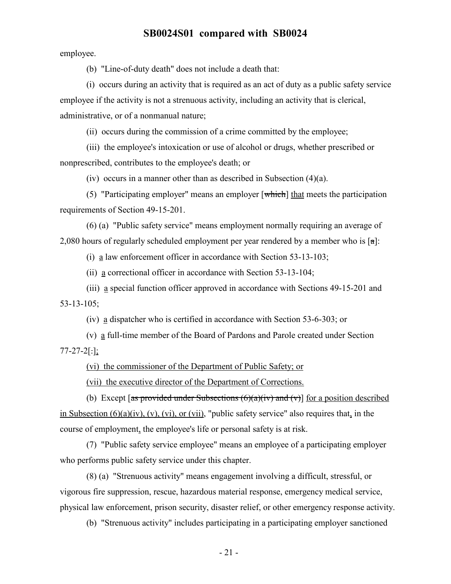employee.

(b) "Line-of-duty death" does not include a death that:

(i) occurs during an activity that is required as an act of duty as a public safety service employee if the activity is not a strenuous activity, including an activity that is clerical, administrative, or of a nonmanual nature;

(ii) occurs during the commission of a crime committed by the employee;

(iii) the employee's intoxication or use of alcohol or drugs, whether prescribed or nonprescribed, contributes to the employee's death; or

(iv) occurs in a manner other than as described in Subsection (4)(a).

(5) "Participating employer" means an employer  $\lceil$  which  $\rceil$  that meets the participation requirements of Section 49-15-201.

(6) (a) "Public safety service" means employment normally requiring an average of 2,080 hours of regularly scheduled employment per year rendered by a member who is [a]:

(i) a law enforcement officer in accordance with Section 53-13-103;

(ii) a correctional officer in accordance with Section 53-13-104;

(iii) a special function officer approved in accordance with Sections 49-15-201 and 53-13-105;

(iv) a dispatcher who is certified in accordance with Section 53-6-303; or

(v) a full-time member of the Board of Pardons and Parole created under Section  $77-27-2$ [.];

(vi) the commissioner of the Department of Public Safety; or

(vii) the executive director of the Department of Corrections.

(b) Except [as provided under Subsections  $(6)(a)(iv)$  and  $(v)$ ] for a position described in Subsection  $(6)(a)(iv)$ ,  $(v)$ ,  $(vi)$ , or  $(vii)$ , "public safety service" also requires that, in the course of employment, the employee's life or personal safety is at risk.

(7) "Public safety service employee" means an employee of a participating employer who performs public safety service under this chapter.

(8) (a) "Strenuous activity" means engagement involving a difficult, stressful, or vigorous fire suppression, rescue, hazardous material response, emergency medical service, physical law enforcement, prison security, disaster relief, or other emergency response activity.

(b) "Strenuous activity" includes participating in a participating employer sanctioned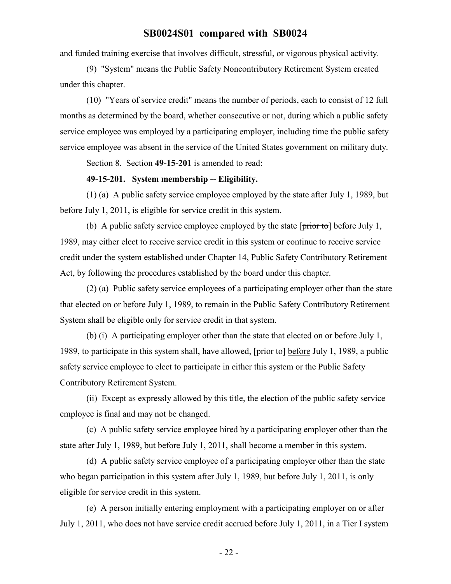and funded training exercise that involves difficult, stressful, or vigorous physical activity.

(9) "System" means the Public Safety Noncontributory Retirement System created under this chapter.

(10) "Years of service credit" means the number of periods, each to consist of 12 full months as determined by the board, whether consecutive or not, during which a public safety service employee was employed by a participating employer, including time the public safety service employee was absent in the service of the United States government on military duty.

Section 8. Section **49-15-201** is amended to read:

#### **49-15-201. System membership -- Eligibility.**

(1) (a) A public safety service employee employed by the state after July 1, 1989, but before July 1, 2011, is eligible for service credit in this system.

(b) A public safety service employee employed by the state  $[\text{prior to}]$  before July 1, 1989, may either elect to receive service credit in this system or continue to receive service credit under the system established under Chapter 14, Public Safety Contributory Retirement Act, by following the procedures established by the board under this chapter.

(2) (a) Public safety service employees of a participating employer other than the state that elected on or before July 1, 1989, to remain in the Public Safety Contributory Retirement System shall be eligible only for service credit in that system.

(b) (i) A participating employer other than the state that elected on or before July 1, 1989, to participate in this system shall, have allowed,  $[\overrightarrow{prior\text{ to}}]$  before July 1, 1989, a public safety service employee to elect to participate in either this system or the Public Safety Contributory Retirement System.

(ii) Except as expressly allowed by this title, the election of the public safety service employee is final and may not be changed.

(c) A public safety service employee hired by a participating employer other than the state after July 1, 1989, but before July 1, 2011, shall become a member in this system.

(d) A public safety service employee of a participating employer other than the state who began participation in this system after July 1, 1989, but before July 1, 2011, is only eligible for service credit in this system.

(e) A person initially entering employment with a participating employer on or after July 1, 2011, who does not have service credit accrued before July 1, 2011, in a Tier I system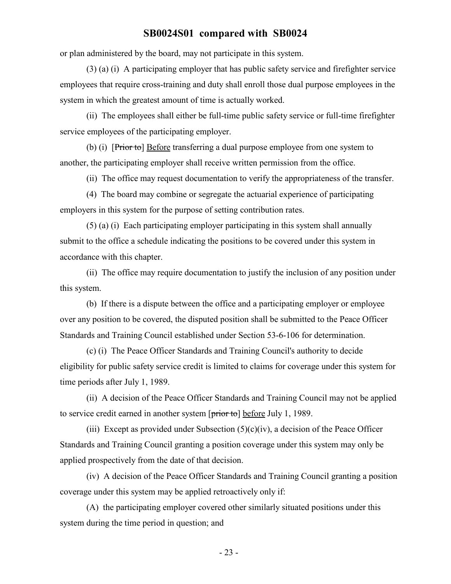or plan administered by the board, may not participate in this system.

(3) (a) (i) A participating employer that has public safety service and firefighter service employees that require cross-training and duty shall enroll those dual purpose employees in the system in which the greatest amount of time is actually worked.

(ii) The employees shall either be full-time public safety service or full-time firefighter service employees of the participating employer.

(b) (i) [Prior to] Before transferring a dual purpose employee from one system to another, the participating employer shall receive written permission from the office.

(ii) The office may request documentation to verify the appropriateness of the transfer.

(4) The board may combine or segregate the actuarial experience of participating employers in this system for the purpose of setting contribution rates.

(5) (a) (i) Each participating employer participating in this system shall annually submit to the office a schedule indicating the positions to be covered under this system in accordance with this chapter.

(ii) The office may require documentation to justify the inclusion of any position under this system.

(b) If there is a dispute between the office and a participating employer or employee over any position to be covered, the disputed position shall be submitted to the Peace Officer Standards and Training Council established under Section 53-6-106 for determination.

(c) (i) The Peace Officer Standards and Training Council's authority to decide eligibility for public safety service credit is limited to claims for coverage under this system for time periods after July 1, 1989.

(ii) A decision of the Peace Officer Standards and Training Council may not be applied to service credit earned in another system [prior to] before July 1, 1989.

(iii) Except as provided under Subsection  $(5)(c)(iv)$ , a decision of the Peace Officer Standards and Training Council granting a position coverage under this system may only be applied prospectively from the date of that decision.

(iv) A decision of the Peace Officer Standards and Training Council granting a position coverage under this system may be applied retroactively only if:

(A) the participating employer covered other similarly situated positions under this system during the time period in question; and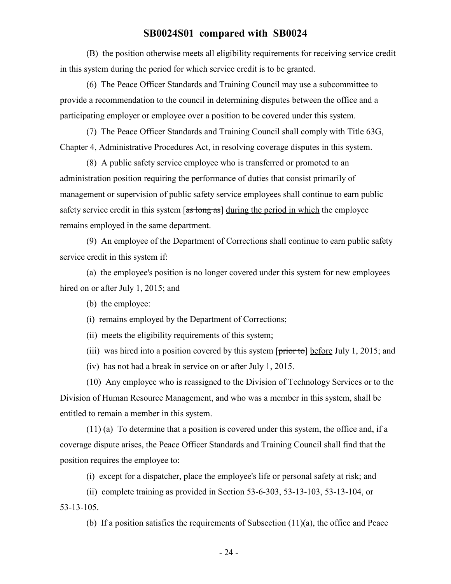(B) the position otherwise meets all eligibility requirements for receiving service credit in this system during the period for which service credit is to be granted.

(6) The Peace Officer Standards and Training Council may use a subcommittee to provide a recommendation to the council in determining disputes between the office and a participating employer or employee over a position to be covered under this system.

(7) The Peace Officer Standards and Training Council shall comply with Title 63G, Chapter 4, Administrative Procedures Act, in resolving coverage disputes in this system.

(8) A public safety service employee who is transferred or promoted to an administration position requiring the performance of duties that consist primarily of management or supervision of public safety service employees shall continue to earn public safety service credit in this system  $[a<sub>s</sub> \log a<sub>s</sub>]$  during the period in which the employee remains employed in the same department.

(9) An employee of the Department of Corrections shall continue to earn public safety service credit in this system if:

(a) the employee's position is no longer covered under this system for new employees hired on or after July 1, 2015; and

(b) the employee:

(i) remains employed by the Department of Corrections;

(ii) meets the eligibility requirements of this system;

(iii) was hired into a position covered by this system  $[\overrightarrow{prior\text{ to}}]$  before July 1, 2015; and

(iv) has not had a break in service on or after July 1, 2015.

(10) Any employee who is reassigned to the Division of Technology Services or to the Division of Human Resource Management, and who was a member in this system, shall be entitled to remain a member in this system.

(11) (a) To determine that a position is covered under this system, the office and, if a coverage dispute arises, the Peace Officer Standards and Training Council shall find that the position requires the employee to:

(i) except for a dispatcher, place the employee's life or personal safety at risk; and

(ii) complete training as provided in Section 53-6-303, 53-13-103, 53-13-104, or 53-13-105.

(b) If a position satisfies the requirements of Subsection (11)(a), the office and Peace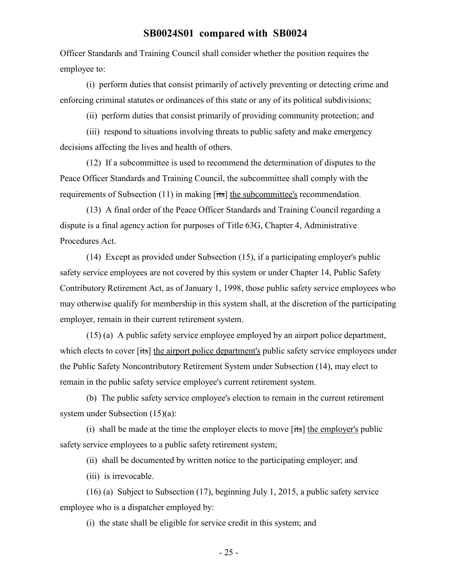Officer Standards and Training Council shall consider whether the position requires the employee to:

(i) perform duties that consist primarily of actively preventing or detecting crime and enforcing criminal statutes or ordinances of this state or any of its political subdivisions;

(ii) perform duties that consist primarily of providing community protection; and

(iii) respond to situations involving threats to public safety and make emergency decisions affecting the lives and health of others.

(12) If a subcommittee is used to recommend the determination of disputes to the Peace Officer Standards and Training Council, the subcommittee shall comply with the requirements of Subsection (11) in making [its] the subcommittee's recommendation.

(13) A final order of the Peace Officer Standards and Training Council regarding a dispute is a final agency action for purposes of Title 63G, Chapter 4, Administrative Procedures Act.

(14) Except as provided under Subsection (15), if a participating employer's public safety service employees are not covered by this system or under Chapter 14, Public Safety Contributory Retirement Act, as of January 1, 1998, those public safety service employees who may otherwise qualify for membership in this system shall, at the discretion of the participating employer, remain in their current retirement system.

(15) (a) A public safety service employee employed by an airport police department, which elects to cover [its] the airport police department's public safety service employees under the Public Safety Noncontributory Retirement System under Subsection (14), may elect to remain in the public safety service employee's current retirement system.

(b) The public safety service employee's election to remain in the current retirement system under Subsection (15)(a):

(i) shall be made at the time the employer elects to move [its] the employer's public safety service employees to a public safety retirement system;

(ii) shall be documented by written notice to the participating employer; and

(iii) is irrevocable.

(16) (a) Subject to Subsection (17), beginning July 1, 2015, a public safety service employee who is a dispatcher employed by:

(i) the state shall be eligible for service credit in this system; and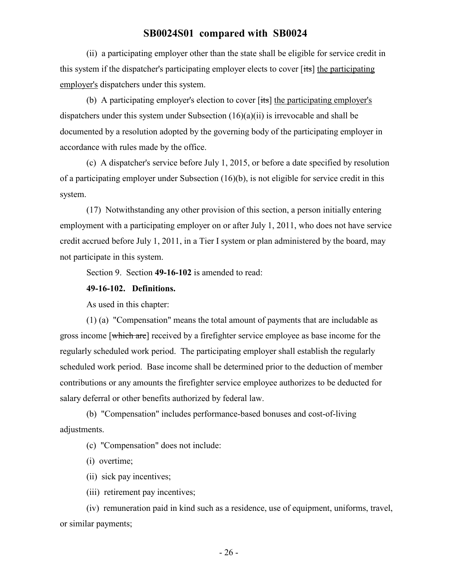(ii) a participating employer other than the state shall be eligible for service credit in this system if the dispatcher's participating employer elects to cover [its] the participating employer's dispatchers under this system.

(b) A participating employer's election to cover  $[t\ddot{\bm{\tau}}]$  the participating employer's dispatchers under this system under Subsection (16)(a)(ii) is irrevocable and shall be documented by a resolution adopted by the governing body of the participating employer in accordance with rules made by the office.

(c) A dispatcher's service before July 1, 2015, or before a date specified by resolution of a participating employer under Subsection (16)(b), is not eligible for service credit in this system.

(17) Notwithstanding any other provision of this section, a person initially entering employment with a participating employer on or after July 1, 2011, who does not have service credit accrued before July 1, 2011, in a Tier I system or plan administered by the board, may not participate in this system.

Section 9. Section **49-16-102** is amended to read:

#### **49-16-102. Definitions.**

As used in this chapter:

(1) (a) "Compensation" means the total amount of payments that are includable as gross income [which are] received by a firefighter service employee as base income for the regularly scheduled work period. The participating employer shall establish the regularly scheduled work period. Base income shall be determined prior to the deduction of member contributions or any amounts the firefighter service employee authorizes to be deducted for salary deferral or other benefits authorized by federal law.

(b) "Compensation" includes performance-based bonuses and cost-of-living adjustments.

(c) "Compensation" does not include:

(i) overtime;

(ii) sick pay incentives;

(iii) retirement pay incentives;

(iv) remuneration paid in kind such as a residence, use of equipment, uniforms, travel, or similar payments;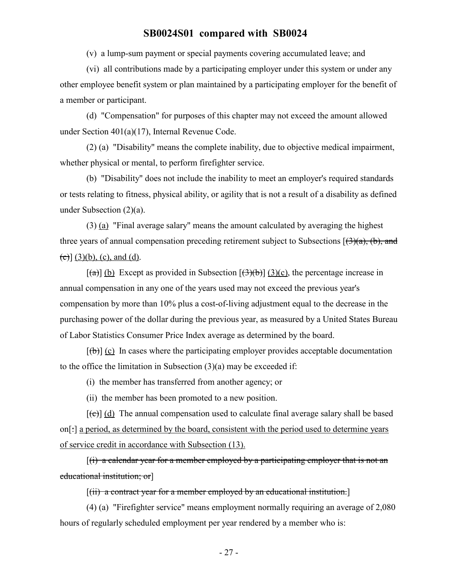(v) a lump-sum payment or special payments covering accumulated leave; and

(vi) all contributions made by a participating employer under this system or under any other employee benefit system or plan maintained by a participating employer for the benefit of a member or participant.

(d) "Compensation" for purposes of this chapter may not exceed the amount allowed under Section 401(a)(17), Internal Revenue Code.

(2) (a) "Disability" means the complete inability, due to objective medical impairment, whether physical or mental, to perform firefighter service.

(b) "Disability" does not include the inability to meet an employer's required standards or tests relating to fitness, physical ability, or agility that is not a result of a disability as defined under Subsection (2)(a).

(3) (a) "Final average salary" means the amount calculated by averaging the highest three years of annual compensation preceding retirement subject to Subsections  $[3](a)$ , (b), and  $(c)$ ] (3)(b), (c), and (d).

 $[(a)]$  (b) Except as provided in Subsection  $[(3)(b)]$  (3)(c), the percentage increase in annual compensation in any one of the years used may not exceed the previous year's compensation by more than 10% plus a cost-of-living adjustment equal to the decrease in the purchasing power of the dollar during the previous year, as measured by a United States Bureau of Labor Statistics Consumer Price Index average as determined by the board.

 $[(\theta)]$  (c) In cases where the participating employer provides acceptable documentation to the office the limitation in Subsection  $(3)(a)$  may be exceeded if:

(i) the member has transferred from another agency; or

(ii) the member has been promoted to a new position.

 $[\text{f}\text{c}]$  (d) The annual compensation used to calculate final average salary shall be based on[:] a period, as determined by the board, consistent with the period used to determine years of service credit in accordance with Subsection (13).

 $[(i)$  a calendar year for a member employed by a participating employer that is not an educational institution; or]

# [(ii) a contract year for a member employed by an educational institution.]

(4) (a) "Firefighter service" means employment normally requiring an average of 2,080 hours of regularly scheduled employment per year rendered by a member who is: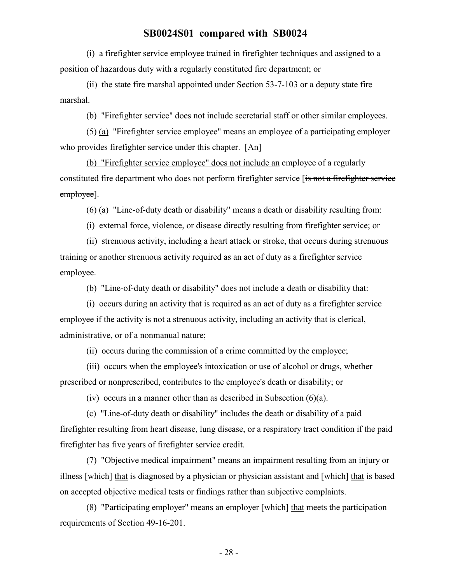(i) a firefighter service employee trained in firefighter techniques and assigned to a position of hazardous duty with a regularly constituted fire department; or

(ii) the state fire marshal appointed under Section 53-7-103 or a deputy state fire marshal.

(b) "Firefighter service" does not include secretarial staff or other similar employees.

(5) (a) "Firefighter service employee" means an employee of a participating employer who provides firefighter service under this chapter.  $[An]$ 

(b) "Firefighter service employee" does not include an employee of a regularly constituted fire department who does not perform firefighter service [is not a firefighter service employee].

(6) (a) "Line-of-duty death or disability" means a death or disability resulting from:

(i) external force, violence, or disease directly resulting from firefighter service; or

(ii) strenuous activity, including a heart attack or stroke, that occurs during strenuous training or another strenuous activity required as an act of duty as a firefighter service employee.

(b) "Line-of-duty death or disability" does not include a death or disability that:

(i) occurs during an activity that is required as an act of duty as a firefighter service employee if the activity is not a strenuous activity, including an activity that is clerical, administrative, or of a nonmanual nature;

(ii) occurs during the commission of a crime committed by the employee;

(iii) occurs when the employee's intoxication or use of alcohol or drugs, whether prescribed or nonprescribed, contributes to the employee's death or disability; or

(iv) occurs in a manner other than as described in Subsection (6)(a).

(c) "Line-of-duty death or disability" includes the death or disability of a paid firefighter resulting from heart disease, lung disease, or a respiratory tract condition if the paid firefighter has five years of firefighter service credit.

(7) "Objective medical impairment" means an impairment resulting from an injury or illness [which] that is diagnosed by a physician or physician assistant and [which] that is based on accepted objective medical tests or findings rather than subjective complaints.

(8) "Participating employer" means an employer  $\lceil \text{which} \rceil$  that meets the participation requirements of Section 49-16-201.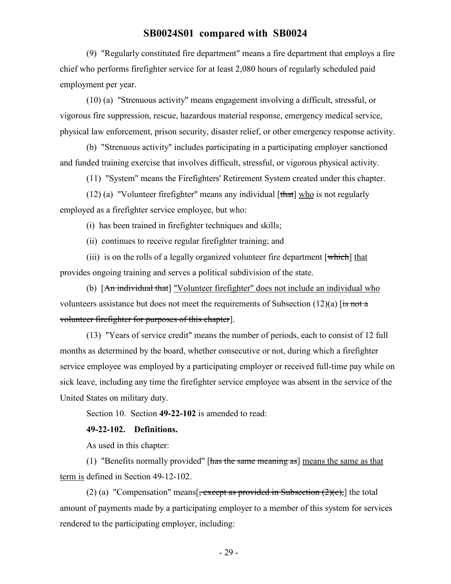(9) "Regularly constituted fire department" means a fire department that employs a fire chief who performs firefighter service for at least 2,080 hours of regularly scheduled paid employment per year.

(10) (a) "Strenuous activity" means engagement involving a difficult, stressful, or vigorous fire suppression, rescue, hazardous material response, emergency medical service, physical law enforcement, prison security, disaster relief, or other emergency response activity.

(b) "Strenuous activity" includes participating in a participating employer sanctioned and funded training exercise that involves difficult, stressful, or vigorous physical activity.

(11) "System" means the Firefighters' Retirement System created under this chapter.

(12) (a) "Volunteer firefighter" means any individual  $[that]$  who is not regularly employed as a firefighter service employee, but who:

(i) has been trained in firefighter techniques and skills;

(ii) continues to receive regular firefighter training; and

(iii) is on the rolls of a legally organized volunteer fire department  $[\overline{\text{which}}]$  that provides ongoing training and serves a political subdivision of the state.

(b) [An individual that] "Volunteer firefighter" does not include an individual who volunteers assistance but does not meet the requirements of Subsection  $(12)(a)$  [is not a volunteer firefighter for purposes of this chapter].

(13) "Years of service credit" means the number of periods, each to consist of 12 full months as determined by the board, whether consecutive or not, during which a firefighter service employee was employed by a participating employer or received full-time pay while on sick leave, including any time the firefighter service employee was absent in the service of the United States on military duty.

Section 10. Section **49-22-102** is amended to read:

#### **49-22-102. Definitions.**

As used in this chapter:

(1) "Benefits normally provided" [ $\frac{h}{\text{has the same meaning as}}$ ] means the same as that term is defined in Section 49-12-102.

(2) (a) "Compensation" means  $\sqrt{3}$ , except as provided in Subsection  $(2)(c)$ , the total amount of payments made by a participating employer to a member of this system for services rendered to the participating employer, including: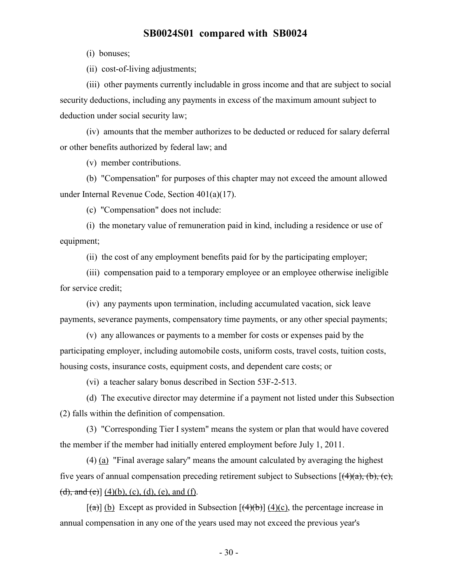(i) bonuses;

(ii) cost-of-living adjustments;

(iii) other payments currently includable in gross income and that are subject to social security deductions, including any payments in excess of the maximum amount subject to deduction under social security law;

(iv) amounts that the member authorizes to be deducted or reduced for salary deferral or other benefits authorized by federal law; and

(v) member contributions.

(b) "Compensation" for purposes of this chapter may not exceed the amount allowed under Internal Revenue Code, Section 401(a)(17).

(c) "Compensation" does not include:

(i) the monetary value of remuneration paid in kind, including a residence or use of equipment;

(ii) the cost of any employment benefits paid for by the participating employer;

(iii) compensation paid to a temporary employee or an employee otherwise ineligible for service credit;

(iv) any payments upon termination, including accumulated vacation, sick leave payments, severance payments, compensatory time payments, or any other special payments;

(v) any allowances or payments to a member for costs or expenses paid by the participating employer, including automobile costs, uniform costs, travel costs, tuition costs, housing costs, insurance costs, equipment costs, and dependent care costs; or

(vi) a teacher salary bonus described in Section 53F-2-513.

(d) The executive director may determine if a payment not listed under this Subsection (2) falls within the definition of compensation.

(3) "Corresponding Tier I system" means the system or plan that would have covered the member if the member had initially entered employment before July 1, 2011.

(4) (a) "Final average salary" means the amount calculated by averaging the highest five years of annual compensation preceding retirement subject to Subsections  $[(4)(a), (b), (c)]$ (d), and (e)] (4)(b), (c), (d), (e), and (f).

 $[(a)]$  (b) Except as provided in Subsection  $[(4)(b)]$  (4)(c), the percentage increase in annual compensation in any one of the years used may not exceed the previous year's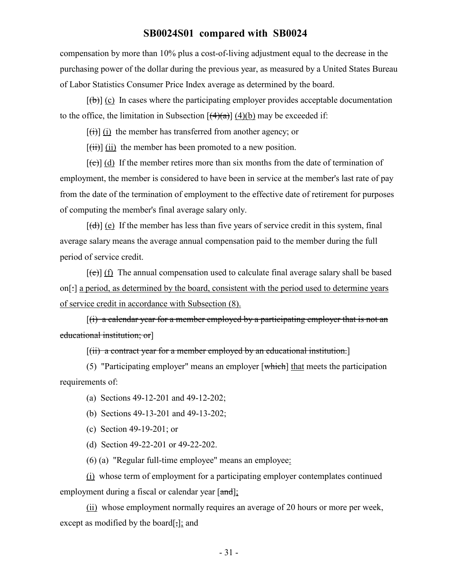compensation by more than 10% plus a cost-of-living adjustment equal to the decrease in the purchasing power of the dollar during the previous year, as measured by a United States Bureau of Labor Statistics Consumer Price Index average as determined by the board.

 $[(\theta)]$  (c) In cases where the participating employer provides acceptable documentation to the office, the limitation in Subsection  $[(4)(a)]$  (4)(b) may be exceeded if:

 $[\overrightarrow{(t)}]$  (i) the member has transferred from another agency; or

 $[\overrightarrow{tii}]$  (ii) the member has been promoted to a new position.

 $[\text{f}\text{e}]$  (d) If the member retires more than six months from the date of termination of employment, the member is considered to have been in service at the member's last rate of pay from the date of the termination of employment to the effective date of retirement for purposes of computing the member's final average salary only.

 $[\overline{(d)}]$  (e) If the member has less than five years of service credit in this system, final average salary means the average annual compensation paid to the member during the full period of service credit.

 $[\text{e}(\epsilon)]$  (f) The annual compensation used to calculate final average salary shall be based on[:] a period, as determined by the board, consistent with the period used to determine years of service credit in accordance with Subsection (8).

 $[(i)$  a calendar year for a member employed by a participating employer that is not an educational institution; or]

 $[(iii)$  a contract year for a member employed by an educational institution.

(5) "Participating employer" means an employer  $[\text{which}]$  that meets the participation requirements of:

(a) Sections 49-12-201 and 49-12-202;

(b) Sections 49-13-201 and 49-13-202;

(c) Section 49-19-201; or

(d) Section 49-22-201 or 49-22-202.

(6) (a) "Regular full-time employee" means an employee:

(i) whose term of employment for a participating employer contemplates continued employment during a fiscal or calendar year  $[\text{and}];$ 

(ii) whose employment normally requires an average of 20 hours or more per week, except as modified by the board $\left[\frac{1}{2}\right]$  and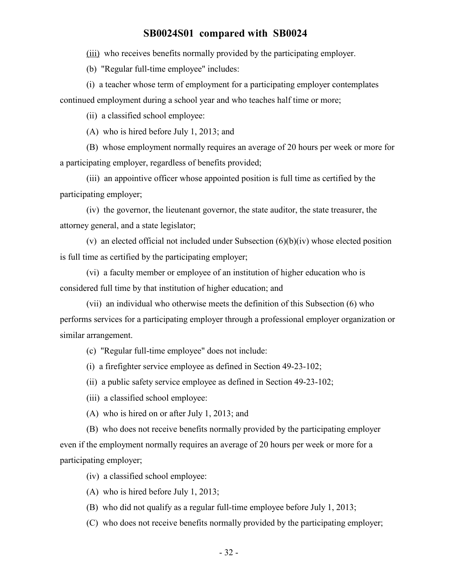(iii) who receives benefits normally provided by the participating employer.

(b) "Regular full-time employee" includes:

(i) a teacher whose term of employment for a participating employer contemplates continued employment during a school year and who teaches half time or more;

(ii) a classified school employee:

(A) who is hired before July 1, 2013; and

(B) whose employment normally requires an average of 20 hours per week or more for a participating employer, regardless of benefits provided;

(iii) an appointive officer whose appointed position is full time as certified by the participating employer;

(iv) the governor, the lieutenant governor, the state auditor, the state treasurer, the attorney general, and a state legislator;

(v) an elected official not included under Subsection (6)(b)(iv) whose elected position is full time as certified by the participating employer;

(vi) a faculty member or employee of an institution of higher education who is considered full time by that institution of higher education; and

(vii) an individual who otherwise meets the definition of this Subsection (6) who performs services for a participating employer through a professional employer organization or similar arrangement.

(c) "Regular full-time employee" does not include:

(i) a firefighter service employee as defined in Section 49-23-102;

(ii) a public safety service employee as defined in Section 49-23-102;

(iii) a classified school employee:

(A) who is hired on or after July 1, 2013; and

(B) who does not receive benefits normally provided by the participating employer even if the employment normally requires an average of 20 hours per week or more for a participating employer;

(iv) a classified school employee:

(A) who is hired before July 1, 2013;

(B) who did not qualify as a regular full-time employee before July 1, 2013;

(C) who does not receive benefits normally provided by the participating employer;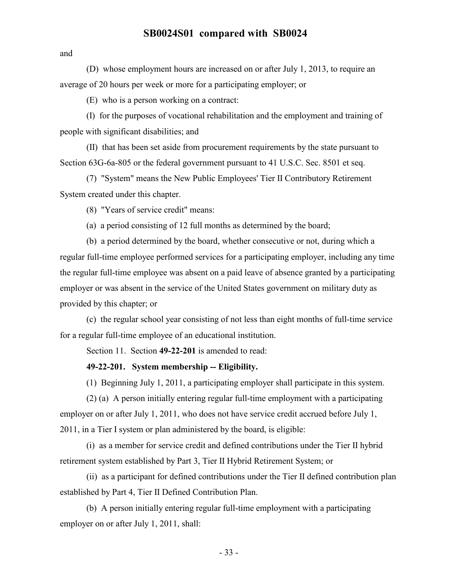and

(D) whose employment hours are increased on or after July 1, 2013, to require an average of 20 hours per week or more for a participating employer; or

(E) who is a person working on a contract:

(I) for the purposes of vocational rehabilitation and the employment and training of people with significant disabilities; and

(II) that has been set aside from procurement requirements by the state pursuant to Section 63G-6a-805 or the federal government pursuant to 41 U.S.C. Sec. 8501 et seq.

(7) "System" means the New Public Employees' Tier II Contributory Retirement System created under this chapter.

(8) "Years of service credit" means:

(a) a period consisting of 12 full months as determined by the board;

(b) a period determined by the board, whether consecutive or not, during which a regular full-time employee performed services for a participating employer, including any time the regular full-time employee was absent on a paid leave of absence granted by a participating employer or was absent in the service of the United States government on military duty as provided by this chapter; or

(c) the regular school year consisting of not less than eight months of full-time service for a regular full-time employee of an educational institution.

Section 11. Section **49-22-201** is amended to read:

#### **49-22-201. System membership -- Eligibility.**

(1) Beginning July 1, 2011, a participating employer shall participate in this system.

(2) (a) A person initially entering regular full-time employment with a participating employer on or after July 1, 2011, who does not have service credit accrued before July 1, 2011, in a Tier I system or plan administered by the board, is eligible:

(i) as a member for service credit and defined contributions under the Tier II hybrid retirement system established by Part 3, Tier II Hybrid Retirement System; or

(ii) as a participant for defined contributions under the Tier II defined contribution plan established by Part 4, Tier II Defined Contribution Plan.

(b) A person initially entering regular full-time employment with a participating employer on or after July 1, 2011, shall: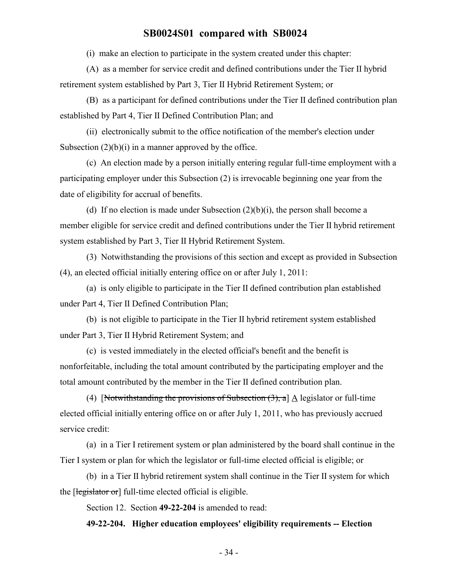(i) make an election to participate in the system created under this chapter:

(A) as a member for service credit and defined contributions under the Tier II hybrid retirement system established by Part 3, Tier II Hybrid Retirement System; or

(B) as a participant for defined contributions under the Tier II defined contribution plan established by Part 4, Tier II Defined Contribution Plan; and

(ii) electronically submit to the office notification of the member's election under Subsection  $(2)(b)(i)$  in a manner approved by the office.

(c) An election made by a person initially entering regular full-time employment with a participating employer under this Subsection (2) is irrevocable beginning one year from the date of eligibility for accrual of benefits.

(d) If no election is made under Subsection  $(2)(b)(i)$ , the person shall become a member eligible for service credit and defined contributions under the Tier II hybrid retirement system established by Part 3, Tier II Hybrid Retirement System.

(3) Notwithstanding the provisions of this section and except as provided in Subsection (4), an elected official initially entering office on or after July 1, 2011:

(a) is only eligible to participate in the Tier II defined contribution plan established under Part 4, Tier II Defined Contribution Plan;

(b) is not eligible to participate in the Tier II hybrid retirement system established under Part 3, Tier II Hybrid Retirement System; and

(c) is vested immediately in the elected official's benefit and the benefit is nonforfeitable, including the total amount contributed by the participating employer and the total amount contributed by the member in the Tier II defined contribution plan.

(4) [Notwithstanding the provisions of Subsection  $(3)$ , a] A legislator or full-time elected official initially entering office on or after July 1, 2011, who has previously accrued service credit:

(a) in a Tier I retirement system or plan administered by the board shall continue in the Tier I system or plan for which the legislator or full-time elected official is eligible; or

(b) in a Tier II hybrid retirement system shall continue in the Tier II system for which the [legislator or] full-time elected official is eligible.

Section 12. Section **49-22-204** is amended to read:

**49-22-204. Higher education employees' eligibility requirements -- Election**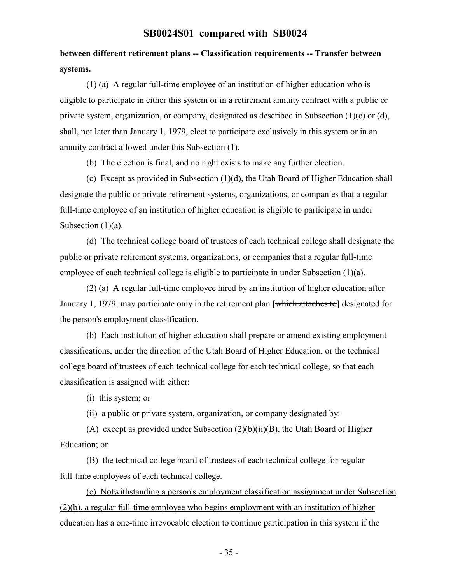**between different retirement plans -- Classification requirements -- Transfer between systems.**

(1) (a) A regular full-time employee of an institution of higher education who is eligible to participate in either this system or in a retirement annuity contract with a public or private system, organization, or company, designated as described in Subsection (1)(c) or (d), shall, not later than January 1, 1979, elect to participate exclusively in this system or in an annuity contract allowed under this Subsection (1).

(b) The election is final, and no right exists to make any further election.

(c) Except as provided in Subsection (1)(d), the Utah Board of Higher Education shall designate the public or private retirement systems, organizations, or companies that a regular full-time employee of an institution of higher education is eligible to participate in under Subsection  $(1)(a)$ .

(d) The technical college board of trustees of each technical college shall designate the public or private retirement systems, organizations, or companies that a regular full-time employee of each technical college is eligible to participate in under Subsection (1)(a).

(2) (a) A regular full-time employee hired by an institution of higher education after January 1, 1979, may participate only in the retirement plan [which attaches to] designated for the person's employment classification.

(b) Each institution of higher education shall prepare or amend existing employment classifications, under the direction of the Utah Board of Higher Education, or the technical college board of trustees of each technical college for each technical college, so that each classification is assigned with either:

(i) this system; or

(ii) a public or private system, organization, or company designated by:

(A) except as provided under Subsection  $(2)(b)(ii)(B)$ , the Utah Board of Higher Education; or

(B) the technical college board of trustees of each technical college for regular full-time employees of each technical college.

(c) Notwithstanding a person's employment classification assignment under Subsection (2)(b), a regular full-time employee who begins employment with an institution of higher education has a one-time irrevocable election to continue participation in this system if the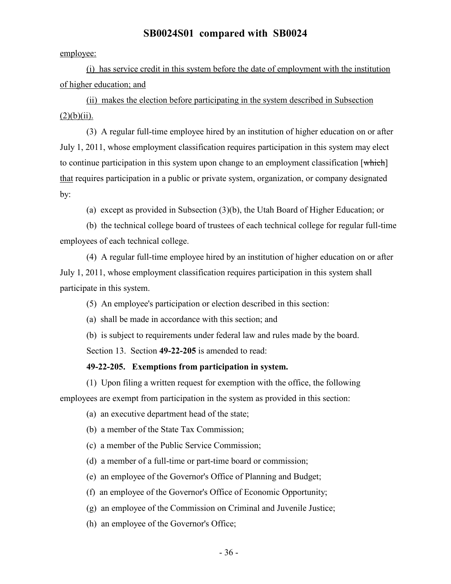#### employee:

(i) has service credit in this system before the date of employment with the institution of higher education; and

(ii) makes the election before participating in the system described in Subsection  $(2)(b)(ii)$ .

(3) A regular full-time employee hired by an institution of higher education on or after July 1, 2011, whose employment classification requires participation in this system may elect to continue participation in this system upon change to an employment classification [which] that requires participation in a public or private system, organization, or company designated by:

(a) except as provided in Subsection (3)(b), the Utah Board of Higher Education; or

(b) the technical college board of trustees of each technical college for regular full-time employees of each technical college.

(4) A regular full-time employee hired by an institution of higher education on or after July 1, 2011, whose employment classification requires participation in this system shall participate in this system.

(5) An employee's participation or election described in this section:

(a) shall be made in accordance with this section; and

(b) is subject to requirements under federal law and rules made by the board.

Section 13. Section **49-22-205** is amended to read:

#### **49-22-205. Exemptions from participation in system.**

(1) Upon filing a written request for exemption with the office, the following employees are exempt from participation in the system as provided in this section:

(a) an executive department head of the state;

(b) a member of the State Tax Commission;

(c) a member of the Public Service Commission;

(d) a member of a full-time or part-time board or commission;

(e) an employee of the Governor's Office of Planning and Budget;

(f) an employee of the Governor's Office of Economic Opportunity;

(g) an employee of the Commission on Criminal and Juvenile Justice;

(h) an employee of the Governor's Office;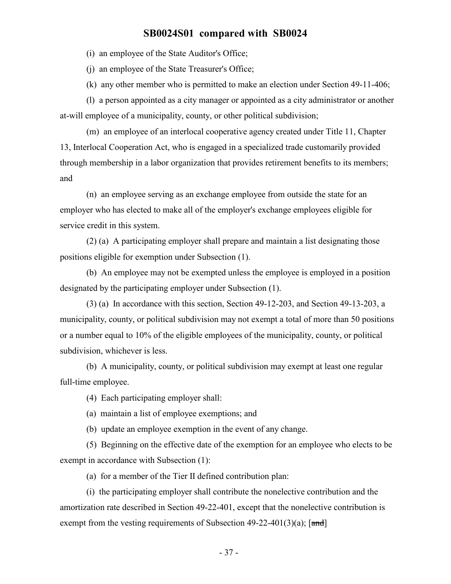(i) an employee of the State Auditor's Office;

(j) an employee of the State Treasurer's Office;

(k) any other member who is permitted to make an election under Section 49-11-406;

(l) a person appointed as a city manager or appointed as a city administrator or another at-will employee of a municipality, county, or other political subdivision;

(m) an employee of an interlocal cooperative agency created under Title 11, Chapter 13, Interlocal Cooperation Act, who is engaged in a specialized trade customarily provided through membership in a labor organization that provides retirement benefits to its members; and

(n) an employee serving as an exchange employee from outside the state for an employer who has elected to make all of the employer's exchange employees eligible for service credit in this system.

(2) (a) A participating employer shall prepare and maintain a list designating those positions eligible for exemption under Subsection (1).

(b) An employee may not be exempted unless the employee is employed in a position designated by the participating employer under Subsection (1).

(3) (a) In accordance with this section, Section 49-12-203, and Section 49-13-203, a municipality, county, or political subdivision may not exempt a total of more than 50 positions or a number equal to 10% of the eligible employees of the municipality, county, or political subdivision, whichever is less.

(b) A municipality, county, or political subdivision may exempt at least one regular full-time employee.

(4) Each participating employer shall:

(a) maintain a list of employee exemptions; and

(b) update an employee exemption in the event of any change.

(5) Beginning on the effective date of the exemption for an employee who elects to be exempt in accordance with Subsection (1):

(a) for a member of the Tier II defined contribution plan:

(i) the participating employer shall contribute the nonelective contribution and the amortization rate described in Section 49-22-401, except that the nonelective contribution is exempt from the vesting requirements of Subsection  $49-22-401(3)(a)$ ; [and]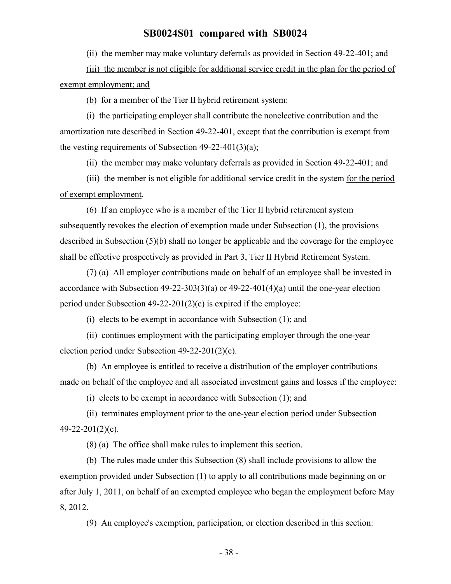(ii) the member may make voluntary deferrals as provided in Section 49-22-401; and

(iii) the member is not eligible for additional service credit in the plan for the period of exempt employment; and

(b) for a member of the Tier II hybrid retirement system:

(i) the participating employer shall contribute the nonelective contribution and the amortization rate described in Section 49-22-401, except that the contribution is exempt from the vesting requirements of Subsection 49-22-401(3)(a);

(ii) the member may make voluntary deferrals as provided in Section 49-22-401; and

(iii) the member is not eligible for additional service credit in the system for the period of exempt employment.

(6) If an employee who is a member of the Tier II hybrid retirement system subsequently revokes the election of exemption made under Subsection (1), the provisions described in Subsection (5)(b) shall no longer be applicable and the coverage for the employee shall be effective prospectively as provided in Part 3, Tier II Hybrid Retirement System.

(7) (a) All employer contributions made on behalf of an employee shall be invested in accordance with Subsection  $49-22-303(3)(a)$  or  $49-22-401(4)(a)$  until the one-year election period under Subsection 49-22-201(2)(c) is expired if the employee:

(i) elects to be exempt in accordance with Subsection (1); and

(ii) continues employment with the participating employer through the one-year election period under Subsection 49-22-201(2)(c).

(b) An employee is entitled to receive a distribution of the employer contributions made on behalf of the employee and all associated investment gains and losses if the employee:

(i) elects to be exempt in accordance with Subsection (1); and

(ii) terminates employment prior to the one-year election period under Subsection 49-22-201(2)(c).

(8) (a) The office shall make rules to implement this section.

(b) The rules made under this Subsection (8) shall include provisions to allow the exemption provided under Subsection (1) to apply to all contributions made beginning on or after July 1, 2011, on behalf of an exempted employee who began the employment before May 8, 2012.

(9) An employee's exemption, participation, or election described in this section: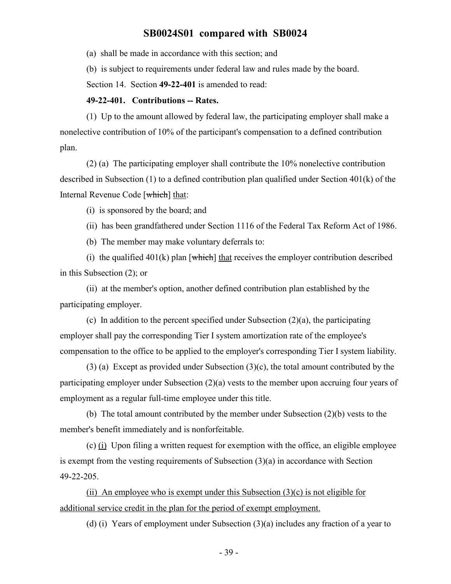(a) shall be made in accordance with this section; and

(b) is subject to requirements under federal law and rules made by the board.

Section 14. Section **49-22-401** is amended to read:

#### **49-22-401. Contributions -- Rates.**

(1) Up to the amount allowed by federal law, the participating employer shall make a nonelective contribution of 10% of the participant's compensation to a defined contribution plan.

(2) (a) The participating employer shall contribute the 10% nonelective contribution described in Subsection (1) to a defined contribution plan qualified under Section 401(k) of the Internal Revenue Code [which] that:

(i) is sponsored by the board; and

(ii) has been grandfathered under Section 1116 of the Federal Tax Reform Act of 1986.

(b) The member may make voluntary deferrals to:

(i) the qualified  $401(k)$  plan [which] that receives the employer contribution described in this Subsection (2); or

(ii) at the member's option, another defined contribution plan established by the participating employer.

(c) In addition to the percent specified under Subsection  $(2)(a)$ , the participating employer shall pay the corresponding Tier I system amortization rate of the employee's compensation to the office to be applied to the employer's corresponding Tier I system liability.

(3) (a) Except as provided under Subsection (3)(c), the total amount contributed by the participating employer under Subsection (2)(a) vests to the member upon accruing four years of employment as a regular full-time employee under this title.

(b) The total amount contributed by the member under Subsection (2)(b) vests to the member's benefit immediately and is nonforfeitable.

(c) (i) Upon filing a written request for exemption with the office, an eligible employee is exempt from the vesting requirements of Subsection (3)(a) in accordance with Section 49-22-205.

(ii) An employee who is exempt under this Subsection  $(3)(c)$  is not eligible for additional service credit in the plan for the period of exempt employment.

(d) (i) Years of employment under Subsection (3)(a) includes any fraction of a year to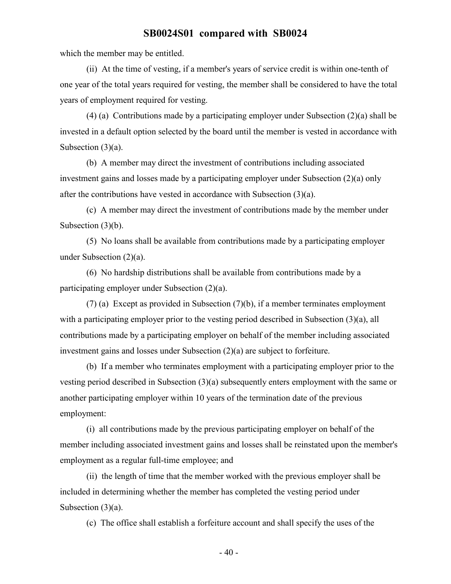which the member may be entitled.

(ii) At the time of vesting, if a member's years of service credit is within one-tenth of one year of the total years required for vesting, the member shall be considered to have the total years of employment required for vesting.

(4) (a) Contributions made by a participating employer under Subsection (2)(a) shall be invested in a default option selected by the board until the member is vested in accordance with Subsection (3)(a).

(b) A member may direct the investment of contributions including associated investment gains and losses made by a participating employer under Subsection (2)(a) only after the contributions have vested in accordance with Subsection (3)(a).

(c) A member may direct the investment of contributions made by the member under Subsection (3)(b).

(5) No loans shall be available from contributions made by a participating employer under Subsection (2)(a).

(6) No hardship distributions shall be available from contributions made by a participating employer under Subsection (2)(a).

(7) (a) Except as provided in Subsection (7)(b), if a member terminates employment with a participating employer prior to the vesting period described in Subsection (3)(a), all contributions made by a participating employer on behalf of the member including associated investment gains and losses under Subsection (2)(a) are subject to forfeiture.

(b) If a member who terminates employment with a participating employer prior to the vesting period described in Subsection (3)(a) subsequently enters employment with the same or another participating employer within 10 years of the termination date of the previous employment:

(i) all contributions made by the previous participating employer on behalf of the member including associated investment gains and losses shall be reinstated upon the member's employment as a regular full-time employee; and

(ii) the length of time that the member worked with the previous employer shall be included in determining whether the member has completed the vesting period under Subsection (3)(a).

(c) The office shall establish a forfeiture account and shall specify the uses of the

- 40 -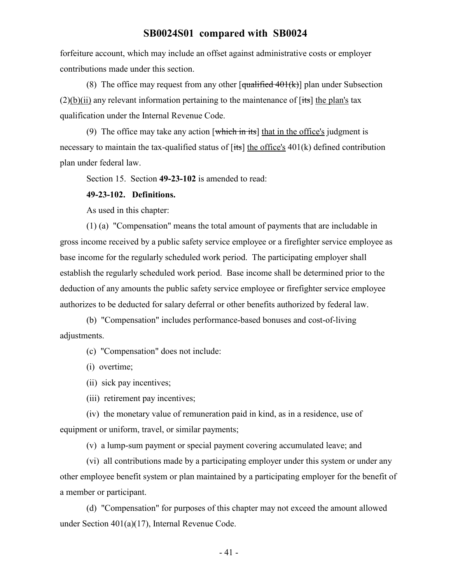forfeiture account, which may include an offset against administrative costs or employer contributions made under this section.

(8) The office may request from any other  $\lceil \frac{\text{qualified }401(k)}{\text{d}} \rceil$  plan under Subsection  $(2)(b)(ii)$  any relevant information pertaining to the maintenance of [its] the plan's tax qualification under the Internal Revenue Code.

(9) The office may take any action  $[$ which in its<sup> $]$ </sup> that in the office's judgment is necessary to maintain the tax-qualified status of  $[its]$  the office's  $401(k)$  defined contribution plan under federal law.

Section 15. Section **49-23-102** is amended to read:

#### **49-23-102. Definitions.**

As used in this chapter:

(1) (a) "Compensation" means the total amount of payments that are includable in gross income received by a public safety service employee or a firefighter service employee as base income for the regularly scheduled work period. The participating employer shall establish the regularly scheduled work period. Base income shall be determined prior to the deduction of any amounts the public safety service employee or firefighter service employee authorizes to be deducted for salary deferral or other benefits authorized by federal law.

(b) "Compensation" includes performance-based bonuses and cost-of-living adjustments.

(c) "Compensation" does not include:

(i) overtime;

(ii) sick pay incentives;

(iii) retirement pay incentives;

(iv) the monetary value of remuneration paid in kind, as in a residence, use of equipment or uniform, travel, or similar payments;

(v) a lump-sum payment or special payment covering accumulated leave; and

(vi) all contributions made by a participating employer under this system or under any other employee benefit system or plan maintained by a participating employer for the benefit of a member or participant.

(d) "Compensation" for purposes of this chapter may not exceed the amount allowed under Section 401(a)(17), Internal Revenue Code.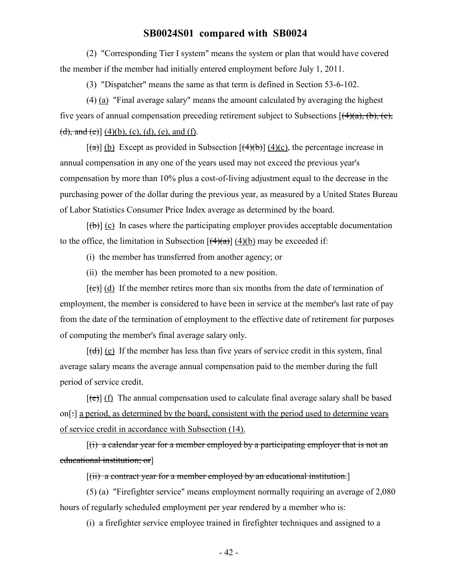(2) "Corresponding Tier I system" means the system or plan that would have covered the member if the member had initially entered employment before July 1, 2011.

(3) "Dispatcher" means the same as that term is defined in Section 53-6-102.

(4) (a) "Final average salary" means the amount calculated by averaging the highest five years of annual compensation preceding retirement subject to Subsections  $[(4)(a), (b), (c)]$ (d), and (e)] (4)(b), (c), (d), (e), and (f).

 $[(a)]$  (b) Except as provided in Subsection  $[(4)(b)]$   $(4)(c)$ , the percentage increase in annual compensation in any one of the years used may not exceed the previous year's compensation by more than 10% plus a cost-of-living adjustment equal to the decrease in the purchasing power of the dollar during the previous year, as measured by a United States Bureau of Labor Statistics Consumer Price Index average as determined by the board.

 $[\Theta]$  (c) In cases where the participating employer provides acceptable documentation to the office, the limitation in Subsection  $[(4)(a)]$  (4)(b) may be exceeded if:

(i) the member has transferred from another agency; or

(ii) the member has been promoted to a new position.

 $[\text{e}(\text{e})]$  (d) If the member retires more than six months from the date of termination of employment, the member is considered to have been in service at the member's last rate of pay from the date of the termination of employment to the effective date of retirement for purposes of computing the member's final average salary only.

 $[(d)]$  (e) If the member has less than five years of service credit in this system, final average salary means the average annual compensation paid to the member during the full period of service credit.

 $[\text{e}(\text{e})]$  (f) The annual compensation used to calculate final average salary shall be based on[ $\pm$ ] a period, as determined by the board, consistent with the period used to determine years of service credit in accordance with Subsection (14).

 $[(i)$  a calendar year for a member employed by a participating employer that is not an educational institution; or]

[(ii) a contract year for a member employed by an educational institution.]

(5) (a) "Firefighter service" means employment normally requiring an average of 2,080 hours of regularly scheduled employment per year rendered by a member who is:

(i) a firefighter service employee trained in firefighter techniques and assigned to a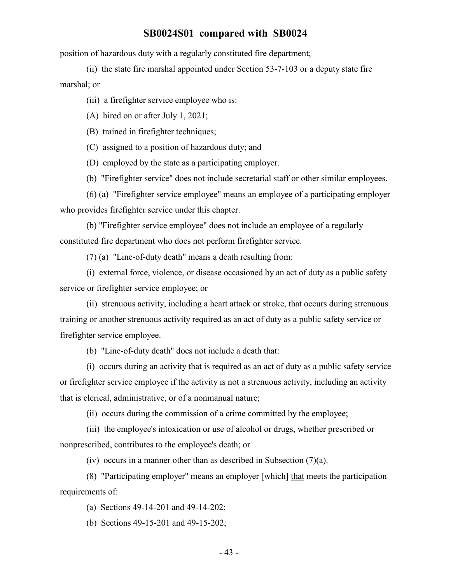position of hazardous duty with a regularly constituted fire department;

(ii) the state fire marshal appointed under Section 53-7-103 or a deputy state fire marshal; or

(iii) a firefighter service employee who is:

(A) hired on or after July 1, 2021;

(B) trained in firefighter techniques;

(C) assigned to a position of hazardous duty; and

(D) employed by the state as a participating employer.

(b) "Firefighter service" does not include secretarial staff or other similar employees.

(6) (a) "Firefighter service employee" means an employee of a participating employer who provides firefighter service under this chapter.

(b) "Firefighter service employee" does not include an employee of a regularly constituted fire department who does not perform firefighter service.

(7) (a) "Line-of-duty death" means a death resulting from:

(i) external force, violence, or disease occasioned by an act of duty as a public safety service or firefighter service employee; or

(ii) strenuous activity, including a heart attack or stroke, that occurs during strenuous training or another strenuous activity required as an act of duty as a public safety service or firefighter service employee.

(b) "Line-of-duty death" does not include a death that:

(i) occurs during an activity that is required as an act of duty as a public safety service or firefighter service employee if the activity is not a strenuous activity, including an activity that is clerical, administrative, or of a nonmanual nature;

(ii) occurs during the commission of a crime committed by the employee;

(iii) the employee's intoxication or use of alcohol or drugs, whether prescribed or nonprescribed, contributes to the employee's death; or

(iv) occurs in a manner other than as described in Subsection (7)(a).

(8) "Participating employer" means an employer  $\lceil \text{which} \rceil$  that meets the participation requirements of:

(a) Sections 49-14-201 and 49-14-202;

(b) Sections 49-15-201 and 49-15-202;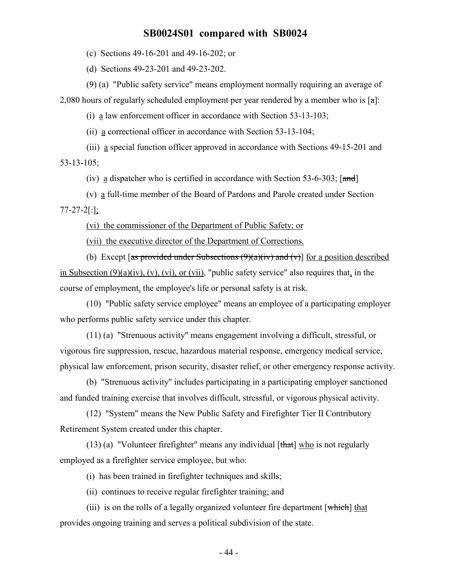(c) Sections 49-16-201 and 49-16-202; or

(d) Sections 49-23-201 and 49-23-202.

(9) (a) "Public safety service" means employment normally requiring an average of 2,080 hours of regularly scheduled employment per year rendered by a member who is  $\lceil a \rceil$ :

(i) a law enforcement officer in accordance with Section 53-13-103;

(ii) a correctional officer in accordance with Section 53-13-104;

(iii) a special function officer approved in accordance with Sections 49-15-201 and 53-13-105;

(iv) a dispatcher who is certified in accordance with Section 53-6-303;  $[\text{and}]$ 

(v) a full-time member of the Board of Pardons and Parole created under Section  $77 - 27 - 2$  $\lceil$ .];

(vi) the commissioner of the Department of Public Safety; or

(vii) the executive director of the Department of Corrections.

(b) Except [as provided under Subsections  $(9)(a)(iv)$  and  $(v)$ ] for a position described in Subsection (9)(a)(iv), (v), (vi), or (vii), "public safety service" also requires that, in the course of employment, the employee's life or personal safety is at risk.

(10) "Public safety service employee" means an employee of a participating employer who performs public safety service under this chapter.

(11) (a) "Strenuous activity" means engagement involving a difficult, stressful, or vigorous fire suppression, rescue, hazardous material response, emergency medical service, physical law enforcement, prison security, disaster relief, or other emergency response activity.

(b) "Strenuous activity" includes participating in a participating employer sanctioned and funded training exercise that involves difficult, stressful, or vigorous physical activity.

(12) "System" means the New Public Safety and Firefighter Tier II Contributory Retirement System created under this chapter.

(13) (a) "Volunteer firefighter" means any individual  $[that]$  who is not regularly employed as a firefighter service employee, but who:

(i) has been trained in firefighter techniques and skills;

(ii) continues to receive regular firefighter training; and

(iii) is on the rolls of a legally organized volunteer fire department  $[\overline{\text{which}}]$  that provides ongoing training and serves a political subdivision of the state.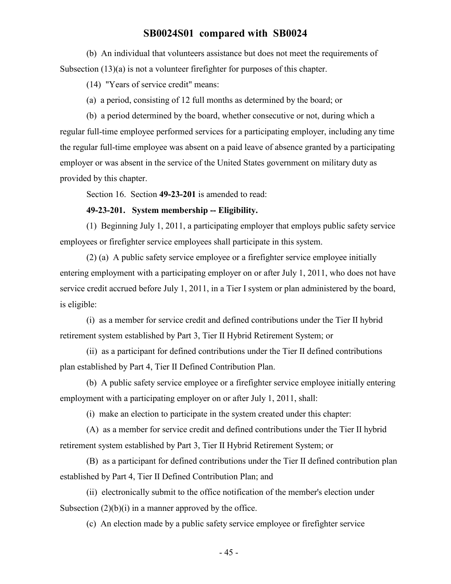(b) An individual that volunteers assistance but does not meet the requirements of Subsection (13)(a) is not a volunteer firefighter for purposes of this chapter.

(14) "Years of service credit" means:

(a) a period, consisting of 12 full months as determined by the board; or

(b) a period determined by the board, whether consecutive or not, during which a regular full-time employee performed services for a participating employer, including any time the regular full-time employee was absent on a paid leave of absence granted by a participating employer or was absent in the service of the United States government on military duty as provided by this chapter.

Section 16. Section **49-23-201** is amended to read:

#### **49-23-201. System membership -- Eligibility.**

(1) Beginning July 1, 2011, a participating employer that employs public safety service employees or firefighter service employees shall participate in this system.

(2) (a) A public safety service employee or a firefighter service employee initially entering employment with a participating employer on or after July 1, 2011, who does not have service credit accrued before July 1, 2011, in a Tier I system or plan administered by the board, is eligible:

(i) as a member for service credit and defined contributions under the Tier II hybrid retirement system established by Part 3, Tier II Hybrid Retirement System; or

(ii) as a participant for defined contributions under the Tier II defined contributions plan established by Part 4, Tier II Defined Contribution Plan.

(b) A public safety service employee or a firefighter service employee initially entering employment with a participating employer on or after July 1, 2011, shall:

(i) make an election to participate in the system created under this chapter:

(A) as a member for service credit and defined contributions under the Tier II hybrid retirement system established by Part 3, Tier II Hybrid Retirement System; or

(B) as a participant for defined contributions under the Tier II defined contribution plan established by Part 4, Tier II Defined Contribution Plan; and

(ii) electronically submit to the office notification of the member's election under Subsection  $(2)(b)(i)$  in a manner approved by the office.

(c) An election made by a public safety service employee or firefighter service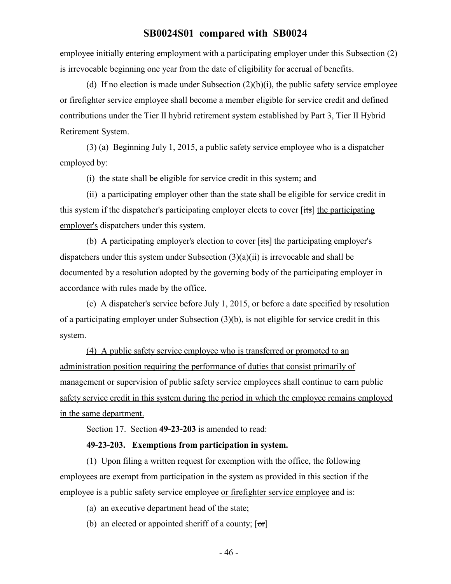employee initially entering employment with a participating employer under this Subsection (2) is irrevocable beginning one year from the date of eligibility for accrual of benefits.

(d) If no election is made under Subsection  $(2)(b)(i)$ , the public safety service employee or firefighter service employee shall become a member eligible for service credit and defined contributions under the Tier II hybrid retirement system established by Part 3, Tier II Hybrid Retirement System.

(3) (a) Beginning July 1, 2015, a public safety service employee who is a dispatcher employed by:

(i) the state shall be eligible for service credit in this system; and

(ii) a participating employer other than the state shall be eligible for service credit in this system if the dispatcher's participating employer elects to cover  $[its]$  the participating employer's dispatchers under this system.

(b) A participating employer's election to cover [its] the participating employer's dispatchers under this system under Subsection  $(3)(a)(ii)$  is irrevocable and shall be documented by a resolution adopted by the governing body of the participating employer in accordance with rules made by the office.

(c) A dispatcher's service before July 1, 2015, or before a date specified by resolution of a participating employer under Subsection (3)(b), is not eligible for service credit in this system.

(4) A public safety service employee who is transferred or promoted to an administration position requiring the performance of duties that consist primarily of management or supervision of public safety service employees shall continue to earn public safety service credit in this system during the period in which the employee remains employed in the same department.

Section 17. Section **49-23-203** is amended to read:

#### **49-23-203. Exemptions from participation in system.**

(1) Upon filing a written request for exemption with the office, the following employees are exempt from participation in the system as provided in this section if the employee is a public safety service employee or firefighter service employee and is:

(a) an executive department head of the state;

(b) an elected or appointed sheriff of a county;  $[\sigma r]$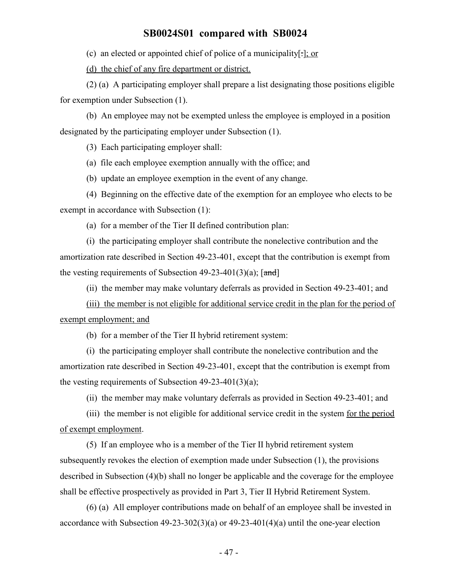(c) an elected or appointed chief of police of a municipality[.]; or

(d) the chief of any fire department or district.

(2) (a) A participating employer shall prepare a list designating those positions eligible for exemption under Subsection (1).

(b) An employee may not be exempted unless the employee is employed in a position designated by the participating employer under Subsection (1).

(3) Each participating employer shall:

(a) file each employee exemption annually with the office; and

(b) update an employee exemption in the event of any change.

(4) Beginning on the effective date of the exemption for an employee who elects to be exempt in accordance with Subsection (1):

(a) for a member of the Tier II defined contribution plan:

(i) the participating employer shall contribute the nonelective contribution and the amortization rate described in Section 49-23-401, except that the contribution is exempt from the vesting requirements of Subsection 49-23-401(3)(a);  $[\text{and}]$ 

(ii) the member may make voluntary deferrals as provided in Section 49-23-401; and

(iii) the member is not eligible for additional service credit in the plan for the period of exempt employment; and

(b) for a member of the Tier II hybrid retirement system:

(i) the participating employer shall contribute the nonelective contribution and the amortization rate described in Section 49-23-401, except that the contribution is exempt from the vesting requirements of Subsection 49-23-401(3)(a);

(ii) the member may make voluntary deferrals as provided in Section 49-23-401; and

(iii) the member is not eligible for additional service credit in the system for the period of exempt employment.

(5) If an employee who is a member of the Tier II hybrid retirement system subsequently revokes the election of exemption made under Subsection (1), the provisions described in Subsection (4)(b) shall no longer be applicable and the coverage for the employee shall be effective prospectively as provided in Part 3, Tier II Hybrid Retirement System.

(6) (a) All employer contributions made on behalf of an employee shall be invested in accordance with Subsection  $49-23-302(3)(a)$  or  $49-23-401(4)(a)$  until the one-year election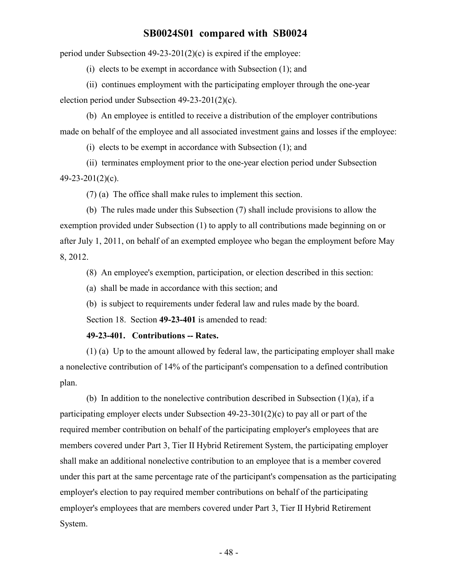period under Subsection 49-23-201(2)(c) is expired if the employee:

(i) elects to be exempt in accordance with Subsection (1); and

(ii) continues employment with the participating employer through the one-year election period under Subsection 49-23-201(2)(c).

(b) An employee is entitled to receive a distribution of the employer contributions made on behalf of the employee and all associated investment gains and losses if the employee:

(i) elects to be exempt in accordance with Subsection (1); and

(ii) terminates employment prior to the one-year election period under Subsection 49-23-201(2)(c).

(7) (a) The office shall make rules to implement this section.

(b) The rules made under this Subsection (7) shall include provisions to allow the exemption provided under Subsection (1) to apply to all contributions made beginning on or after July 1, 2011, on behalf of an exempted employee who began the employment before May 8, 2012.

(8) An employee's exemption, participation, or election described in this section:

(a) shall be made in accordance with this section; and

(b) is subject to requirements under federal law and rules made by the board.

Section 18. Section **49-23-401** is amended to read:

#### **49-23-401. Contributions -- Rates.**

(1) (a) Up to the amount allowed by federal law, the participating employer shall make a nonelective contribution of 14% of the participant's compensation to a defined contribution plan.

(b) In addition to the nonelective contribution described in Subsection (1)(a), if a participating employer elects under Subsection 49-23-301(2)(c) to pay all or part of the required member contribution on behalf of the participating employer's employees that are members covered under Part 3, Tier II Hybrid Retirement System, the participating employer shall make an additional nonelective contribution to an employee that is a member covered under this part at the same percentage rate of the participant's compensation as the participating employer's election to pay required member contributions on behalf of the participating employer's employees that are members covered under Part 3, Tier II Hybrid Retirement System.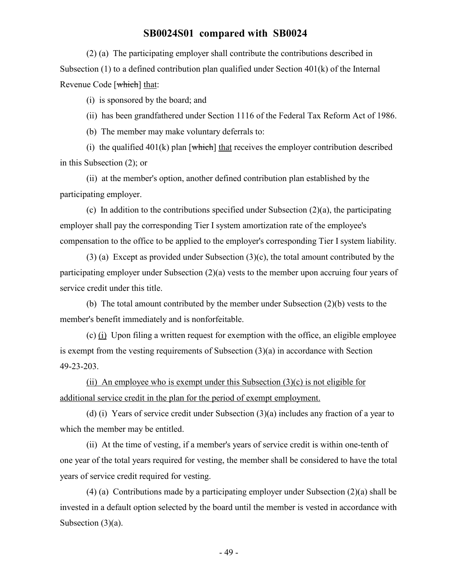(2) (a) The participating employer shall contribute the contributions described in Subsection (1) to a defined contribution plan qualified under Section 401(k) of the Internal Revenue Code [which] that:

(i) is sponsored by the board; and

(ii) has been grandfathered under Section 1116 of the Federal Tax Reform Act of 1986.

(b) The member may make voluntary deferrals to:

(i) the qualified  $401(k)$  plan [which] that receives the employer contribution described in this Subsection (2); or

(ii) at the member's option, another defined contribution plan established by the participating employer.

(c) In addition to the contributions specified under Subsection (2)(a), the participating employer shall pay the corresponding Tier I system amortization rate of the employee's compensation to the office to be applied to the employer's corresponding Tier I system liability.

(3) (a) Except as provided under Subsection (3)(c), the total amount contributed by the participating employer under Subsection (2)(a) vests to the member upon accruing four years of service credit under this title.

(b) The total amount contributed by the member under Subsection (2)(b) vests to the member's benefit immediately and is nonforfeitable.

(c)  $(i)$  Upon filing a written request for exemption with the office, an eligible employee is exempt from the vesting requirements of Subsection (3)(a) in accordance with Section 49-23-203.

(ii) An employee who is exempt under this Subsection  $(3)(c)$  is not eligible for additional service credit in the plan for the period of exempt employment.

(d) (i) Years of service credit under Subsection (3)(a) includes any fraction of a year to which the member may be entitled.

(ii) At the time of vesting, if a member's years of service credit is within one-tenth of one year of the total years required for vesting, the member shall be considered to have the total years of service credit required for vesting.

(4) (a) Contributions made by a participating employer under Subsection (2)(a) shall be invested in a default option selected by the board until the member is vested in accordance with Subsection  $(3)(a)$ .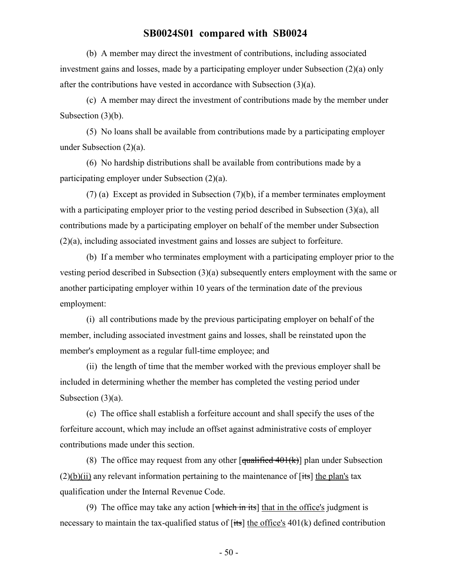(b) A member may direct the investment of contributions, including associated investment gains and losses, made by a participating employer under Subsection (2)(a) only after the contributions have vested in accordance with Subsection (3)(a).

(c) A member may direct the investment of contributions made by the member under Subsection (3)(b).

(5) No loans shall be available from contributions made by a participating employer under Subsection (2)(a).

(6) No hardship distributions shall be available from contributions made by a participating employer under Subsection (2)(a).

(7) (a) Except as provided in Subsection (7)(b), if a member terminates employment with a participating employer prior to the vesting period described in Subsection (3)(a), all contributions made by a participating employer on behalf of the member under Subsection (2)(a), including associated investment gains and losses are subject to forfeiture.

(b) If a member who terminates employment with a participating employer prior to the vesting period described in Subsection (3)(a) subsequently enters employment with the same or another participating employer within 10 years of the termination date of the previous employment:

(i) all contributions made by the previous participating employer on behalf of the member, including associated investment gains and losses, shall be reinstated upon the member's employment as a regular full-time employee; and

(ii) the length of time that the member worked with the previous employer shall be included in determining whether the member has completed the vesting period under Subsection  $(3)(a)$ .

(c) The office shall establish a forfeiture account and shall specify the uses of the forfeiture account, which may include an offset against administrative costs of employer contributions made under this section.

(8) The office may request from any other  $\lceil \frac{\text{qualified }401(k)}{\text{plan under Subsection}} \rceil$  $(2)(b)(ii)$  any relevant information pertaining to the maintenance of [its] the plan's tax qualification under the Internal Revenue Code.

(9) The office may take any action  $[$ which in its<sup>†</sup> that in the office's judgment is necessary to maintain the tax-qualified status of  $[\text{its}]$  the office's 401(k) defined contribution